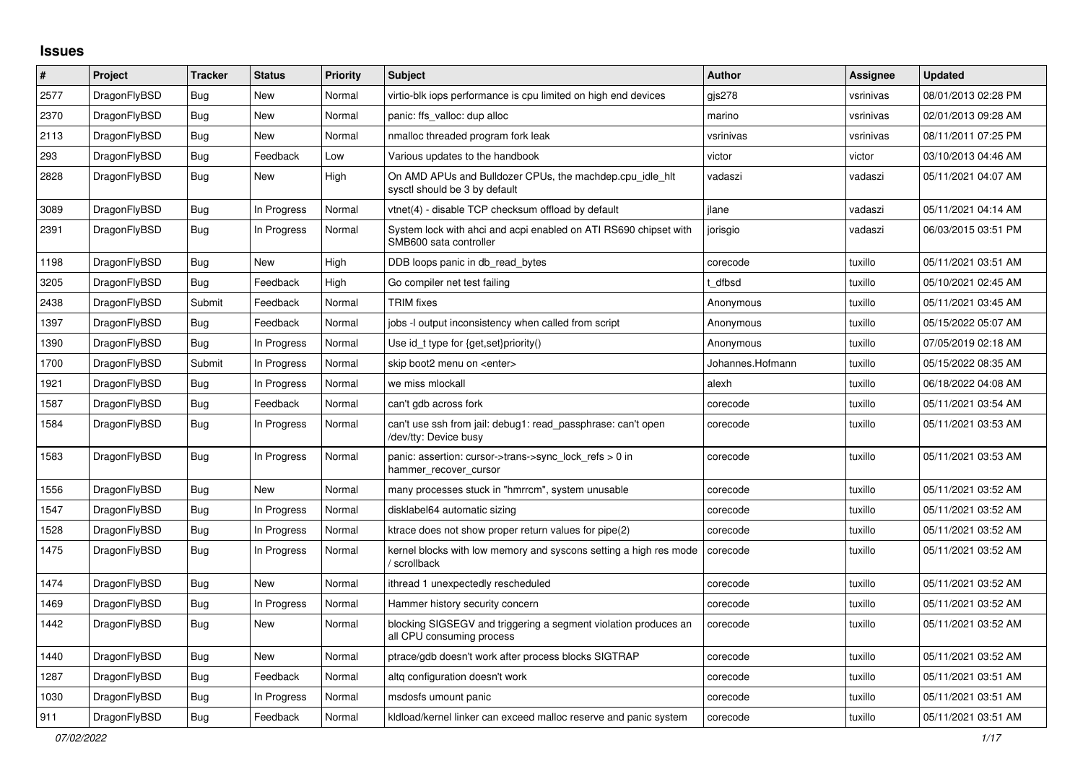## **Issues**

| $\vert$ # | Project      | <b>Tracker</b> | <b>Status</b> | <b>Priority</b> | <b>Subject</b>                                                                               | <b>Author</b>    | <b>Assignee</b> | <b>Updated</b>      |
|-----------|--------------|----------------|---------------|-----------------|----------------------------------------------------------------------------------------------|------------------|-----------------|---------------------|
| 2577      | DragonFlyBSD | Bug            | New           | Normal          | virtio-blk iops performance is cpu limited on high end devices                               | gis278           | vsrinivas       | 08/01/2013 02:28 PM |
| 2370      | DragonFlyBSD | Bug            | New           | Normal          | panic: ffs valloc: dup alloc                                                                 | marino           | vsrinivas       | 02/01/2013 09:28 AM |
| 2113      | DragonFlyBSD | <b>Bug</b>     | New           | Normal          | nmalloc threaded program fork leak                                                           | vsrinivas        | vsrinivas       | 08/11/2011 07:25 PM |
| 293       | DragonFlyBSD | Bug            | Feedback      | Low             | Various updates to the handbook                                                              | victor           | victor          | 03/10/2013 04:46 AM |
| 2828      | DragonFlyBSD | <b>Bug</b>     | <b>New</b>    | High            | On AMD APUs and Bulldozer CPUs, the machdep.cpu idle hit<br>sysctl should be 3 by default    | vadaszi          | vadaszi         | 05/11/2021 04:07 AM |
| 3089      | DragonFlyBSD | Bug            | In Progress   | Normal          | vtnet(4) - disable TCP checksum offload by default                                           | jlane            | vadaszi         | 05/11/2021 04:14 AM |
| 2391      | DragonFlyBSD | Bug            | In Progress   | Normal          | System lock with ahci and acpi enabled on ATI RS690 chipset with<br>SMB600 sata controller   | jorisgio         | vadaszi         | 06/03/2015 03:51 PM |
| 1198      | DragonFlyBSD | Bug            | New           | High            | DDB loops panic in db read bytes                                                             | corecode         | tuxillo         | 05/11/2021 03:51 AM |
| 3205      | DragonFlyBSD | Bug            | Feedback      | High            | Go compiler net test failing                                                                 | : dfbsd          | tuxillo         | 05/10/2021 02:45 AM |
| 2438      | DragonFlyBSD | Submit         | Feedback      | Normal          | <b>TRIM</b> fixes                                                                            | Anonymous        | tuxillo         | 05/11/2021 03:45 AM |
| 1397      | DragonFlyBSD | Bug            | Feedback      | Normal          | jobs -I output inconsistency when called from script                                         | Anonymous        | tuxillo         | 05/15/2022 05:07 AM |
| 1390      | DragonFlyBSD | Bug            | In Progress   | Normal          | Use id_t type for {get, set}priority()                                                       | Anonymous        | tuxillo         | 07/05/2019 02:18 AM |
| 1700      | DragonFlyBSD | Submit         | In Progress   | Normal          | skip boot2 menu on <enter></enter>                                                           | Johannes.Hofmann | tuxillo         | 05/15/2022 08:35 AM |
| 1921      | DragonFlyBSD | Bug            | In Progress   | Normal          | we miss mlockall                                                                             | alexh            | tuxillo         | 06/18/2022 04:08 AM |
| 1587      | DragonFlyBSD | Bug            | Feedback      | Normal          | can't gdb across fork                                                                        | corecode         | tuxillo         | 05/11/2021 03:54 AM |
| 1584      | DragonFlyBSD | Bug            | In Progress   | Normal          | can't use ssh from jail: debug1: read passphrase: can't open<br>/dev/tty: Device busy        | corecode         | tuxillo         | 05/11/2021 03:53 AM |
| 1583      | DragonFlyBSD | <b>Bug</b>     | In Progress   | Normal          | panic: assertion: cursor->trans->sync_lock_refs > 0 in<br>hammer_recover_cursor              | corecode         | tuxillo         | 05/11/2021 03:53 AM |
| 1556      | DragonFlyBSD | <b>Bug</b>     | <b>New</b>    | Normal          | many processes stuck in "hmrrcm", system unusable                                            | corecode         | tuxillo         | 05/11/2021 03:52 AM |
| 1547      | DragonFlyBSD | Bug            | In Progress   | Normal          | disklabel64 automatic sizing                                                                 | corecode         | tuxillo         | 05/11/2021 03:52 AM |
| 1528      | DragonFlyBSD | Bug            | In Progress   | Normal          | ktrace does not show proper return values for pipe(2)                                        | corecode         | tuxillo         | 05/11/2021 03:52 AM |
| 1475      | DragonFlyBSD | Bug            | In Progress   | Normal          | kernel blocks with low memory and syscons setting a high res mode<br>/ scrollback            | corecode         | tuxillo         | 05/11/2021 03:52 AM |
| 1474      | DragonFlyBSD | Bug            | New           | Normal          | ithread 1 unexpectedly rescheduled                                                           | corecode         | tuxillo         | 05/11/2021 03:52 AM |
| 1469      | DragonFlyBSD | Bug            | In Progress   | Normal          | Hammer history security concern                                                              | corecode         | tuxillo         | 05/11/2021 03:52 AM |
| 1442      | DragonFlyBSD | Bug            | New           | Normal          | blocking SIGSEGV and triggering a segment violation produces an<br>all CPU consuming process | corecode         | tuxillo         | 05/11/2021 03:52 AM |
| 1440      | DragonFlyBSD | <b>Bug</b>     | New           | Normal          | ptrace/gdb doesn't work after process blocks SIGTRAP                                         | corecode         | tuxillo         | 05/11/2021 03:52 AM |
| 1287      | DragonFlyBSD | Bug            | Feedback      | Normal          | altg configuration doesn't work                                                              | corecode         | tuxillo         | 05/11/2021 03:51 AM |
| 1030      | DragonFlyBSD | Bug            | In Progress   | Normal          | msdosfs umount panic                                                                         | corecode         | tuxillo         | 05/11/2021 03:51 AM |
| 911       | DragonFlyBSD | Bug            | Feedback      | Normal          | kidload/kernel linker can exceed malloc reserve and panic system                             | corecode         | tuxillo         | 05/11/2021 03:51 AM |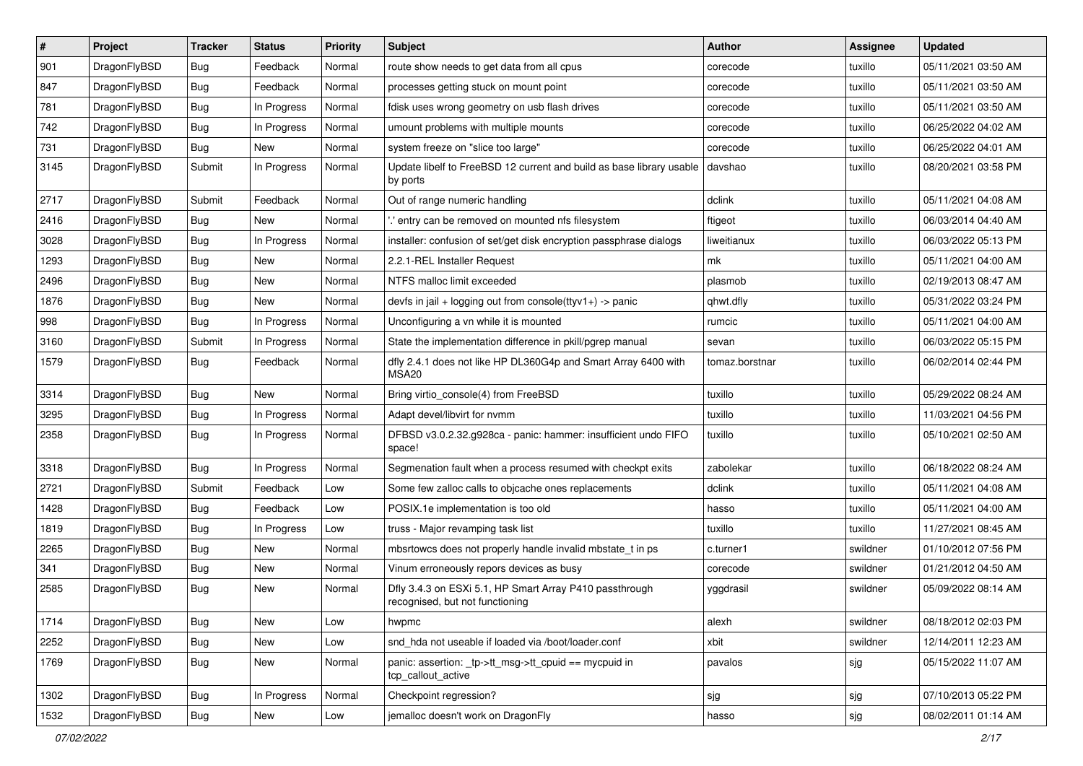| $\vert$ # | Project      | <b>Tracker</b> | <b>Status</b> | <b>Priority</b> | <b>Subject</b>                                                                             | <b>Author</b>  | Assignee | <b>Updated</b>      |
|-----------|--------------|----------------|---------------|-----------------|--------------------------------------------------------------------------------------------|----------------|----------|---------------------|
| 901       | DragonFlyBSD | <b>Bug</b>     | Feedback      | Normal          | route show needs to get data from all cpus                                                 | corecode       | tuxillo  | 05/11/2021 03:50 AM |
| 847       | DragonFlyBSD | Bug            | Feedback      | Normal          | processes getting stuck on mount point                                                     | corecode       | tuxillo  | 05/11/2021 03:50 AM |
| 781       | DragonFlyBSD | <b>Bug</b>     | In Progress   | Normal          | fdisk uses wrong geometry on usb flash drives                                              | corecode       | tuxillo  | 05/11/2021 03:50 AM |
| 742       | DragonFlyBSD | Bug            | In Progress   | Normal          | umount problems with multiple mounts                                                       | corecode       | tuxillo  | 06/25/2022 04:02 AM |
| 731       | DragonFlyBSD | Bug            | New           | Normal          | system freeze on "slice too large"                                                         | corecode       | tuxillo  | 06/25/2022 04:01 AM |
| 3145      | DragonFlyBSD | Submit         | In Progress   | Normal          | Update libelf to FreeBSD 12 current and build as base library usable<br>by ports           | davshao        | tuxillo  | 08/20/2021 03:58 PM |
| 2717      | DragonFlyBSD | Submit         | Feedback      | Normal          | Out of range numeric handling                                                              | dclink         | tuxillo  | 05/11/2021 04:08 AM |
| 2416      | DragonFlyBSD | Bug            | New           | Normal          | ' entry can be removed on mounted nfs filesystem                                           | ftigeot        | tuxillo  | 06/03/2014 04:40 AM |
| 3028      | DragonFlyBSD | <b>Bug</b>     | In Progress   | Normal          | installer: confusion of set/get disk encryption passphrase dialogs                         | liweitianux    | tuxillo  | 06/03/2022 05:13 PM |
| 1293      | DragonFlyBSD | <b>Bug</b>     | <b>New</b>    | Normal          | 2.2.1-REL Installer Request                                                                | mk             | tuxillo  | 05/11/2021 04:00 AM |
| 2496      | DragonFlyBSD | Bug            | <b>New</b>    | Normal          | NTFS malloc limit exceeded                                                                 | plasmob        | tuxillo  | 02/19/2013 08:47 AM |
| 1876      | DragonFlyBSD | <b>Bug</b>     | <b>New</b>    | Normal          | devfs in jail + logging out from console(ttyv1+) -> panic                                  | qhwt.dfly      | tuxillo  | 05/31/2022 03:24 PM |
| 998       | DragonFlyBSD | <b>Bug</b>     | In Progress   | Normal          | Unconfiguring a vn while it is mounted                                                     | rumcic         | tuxillo  | 05/11/2021 04:00 AM |
| 3160      | DragonFlyBSD | Submit         | In Progress   | Normal          | State the implementation difference in pkill/pgrep manual                                  | sevan          | tuxillo  | 06/03/2022 05:15 PM |
| 1579      | DragonFlyBSD | Bug            | Feedback      | Normal          | dfly 2.4.1 does not like HP DL360G4p and Smart Array 6400 with<br>MSA20                    | tomaz.borstnar | tuxillo  | 06/02/2014 02:44 PM |
| 3314      | DragonFlyBSD | <b>Bug</b>     | New           | Normal          | Bring virtio_console(4) from FreeBSD                                                       | tuxillo        | tuxillo  | 05/29/2022 08:24 AM |
| 3295      | DragonFlyBSD | Bug            | In Progress   | Normal          | Adapt devel/libvirt for nvmm                                                               | tuxillo        | tuxillo  | 11/03/2021 04:56 PM |
| 2358      | DragonFlyBSD | <b>Bug</b>     | In Progress   | Normal          | DFBSD v3.0.2.32.g928ca - panic: hammer: insufficient undo FIFO<br>space!                   | tuxillo        | tuxillo  | 05/10/2021 02:50 AM |
| 3318      | DragonFlyBSD | <b>Bug</b>     | In Progress   | Normal          | Segmenation fault when a process resumed with checkpt exits                                | zabolekar      | tuxillo  | 06/18/2022 08:24 AM |
| 2721      | DragonFlyBSD | Submit         | Feedback      | Low             | Some few zalloc calls to objcache ones replacements                                        | dclink         | tuxillo  | 05/11/2021 04:08 AM |
| 1428      | DragonFlyBSD | <b>Bug</b>     | Feedback      | Low             | POSIX.1e implementation is too old                                                         | hasso          | tuxillo  | 05/11/2021 04:00 AM |
| 1819      | DragonFlyBSD | <b>Bug</b>     | In Progress   | Low             | truss - Major revamping task list                                                          | tuxillo        | tuxillo  | 11/27/2021 08:45 AM |
| 2265      | DragonFlyBSD | <b>Bug</b>     | <b>New</b>    | Normal          | mbsrtowcs does not properly handle invalid mbstate t in ps                                 | c.turner1      | swildner | 01/10/2012 07:56 PM |
| 341       | DragonFlyBSD | Bug            | New           | Normal          | Vinum erroneously repors devices as busy                                                   | corecode       | swildner | 01/21/2012 04:50 AM |
| 2585      | DragonFlyBSD | Bug            | New           | Normal          | Dfly 3.4.3 on ESXi 5.1, HP Smart Array P410 passthrough<br>recognised, but not functioning | yggdrasil      | swildner | 05/09/2022 08:14 AM |
| 1714      | DragonFlyBSD | <b>Bug</b>     | New           | Low             | hwpmc                                                                                      | alexh          | swildner | 08/18/2012 02:03 PM |
| 2252      | DragonFlyBSD | <b>Bug</b>     | New           | Low             | snd_hda not useable if loaded via /boot/loader.conf                                        | xbit           | swildner | 12/14/2011 12:23 AM |
| 1769      | DragonFlyBSD | Bug            | New           | Normal          | panic: assertion: tp->tt_msg->tt_cpuid == mycpuid in<br>tcp_callout_active                 | pavalos        | sjg      | 05/15/2022 11:07 AM |
| 1302      | DragonFlyBSD | <b>Bug</b>     | In Progress   | Normal          | Checkpoint regression?                                                                     | sjg            | sjg      | 07/10/2013 05:22 PM |
| 1532      | DragonFlyBSD | Bug            | New           | Low             | jemalloc doesn't work on DragonFly                                                         | hasso          | sjg      | 08/02/2011 01:14 AM |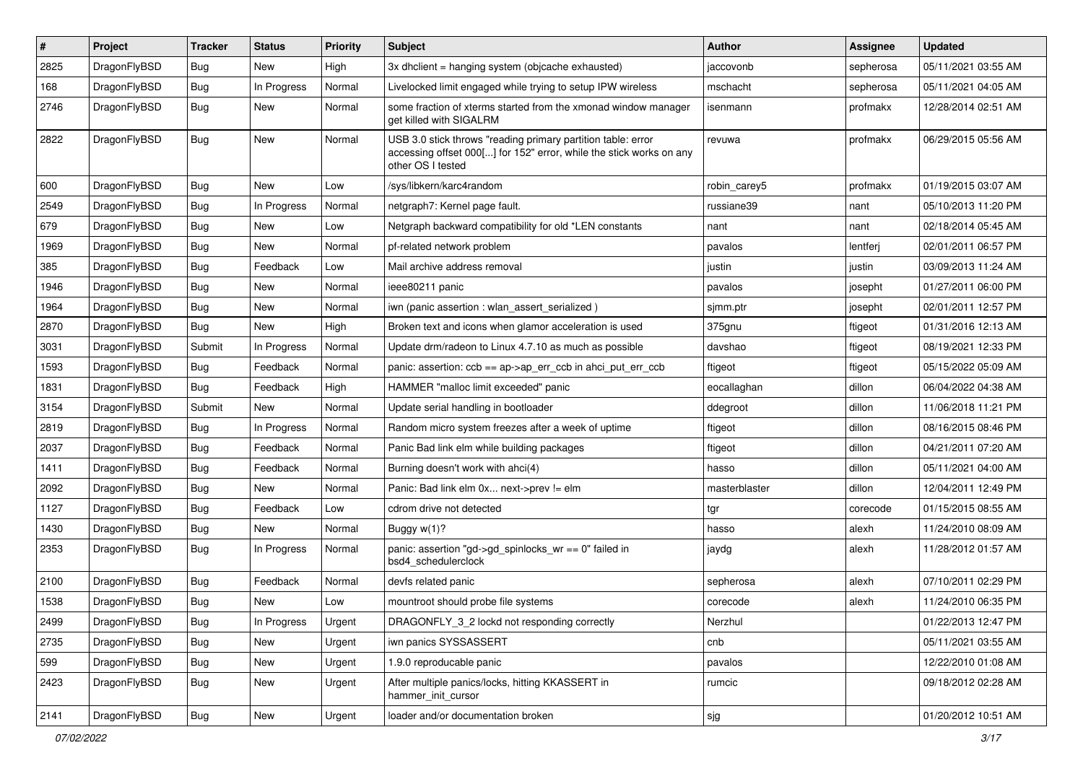| #    | Project      | <b>Tracker</b> | <b>Status</b> | <b>Priority</b> | Subject                                                                                                                                                  | <b>Author</b> | Assignee  | <b>Updated</b>      |
|------|--------------|----------------|---------------|-----------------|----------------------------------------------------------------------------------------------------------------------------------------------------------|---------------|-----------|---------------------|
| 2825 | DragonFlyBSD | <b>Bug</b>     | New           | High            | 3x dhclient = hanging system (objcache exhausted)                                                                                                        | jaccovonb     | sepherosa | 05/11/2021 03:55 AM |
| 168  | DragonFlyBSD | Bug            | In Progress   | Normal          | Livelocked limit engaged while trying to setup IPW wireless                                                                                              | mschacht      | sepherosa | 05/11/2021 04:05 AM |
| 2746 | DragonFlyBSD | Bug            | New           | Normal          | some fraction of xterms started from the xmonad window manager<br>get killed with SIGALRM                                                                | isenmann      | profmakx  | 12/28/2014 02:51 AM |
| 2822 | DragonFlyBSD | Bug            | <b>New</b>    | Normal          | USB 3.0 stick throws "reading primary partition table: error<br>accessing offset 000[] for 152" error, while the stick works on any<br>other OS I tested | revuwa        | profmakx  | 06/29/2015 05:56 AM |
| 600  | DragonFlyBSD | Bug            | <b>New</b>    | Low             | /sys/libkern/karc4random                                                                                                                                 | robin carey5  | profmakx  | 01/19/2015 03:07 AM |
| 2549 | DragonFlyBSD | Bug            | In Progress   | Normal          | netgraph7: Kernel page fault.                                                                                                                            | russiane39    | nant      | 05/10/2013 11:20 PM |
| 679  | DragonFlyBSD | Bug            | <b>New</b>    | Low             | Netgraph backward compatibility for old *LEN constants                                                                                                   | nant          | nant      | 02/18/2014 05:45 AM |
| 1969 | DragonFlyBSD | Bug            | New           | Normal          | pf-related network problem                                                                                                                               | pavalos       | lentferj  | 02/01/2011 06:57 PM |
| 385  | DragonFlyBSD | Bug            | Feedback      | Low             | Mail archive address removal                                                                                                                             | justin        | justin    | 03/09/2013 11:24 AM |
| 1946 | DragonFlyBSD | Bug            | <b>New</b>    | Normal          | ieee80211 panic                                                                                                                                          | pavalos       | josepht   | 01/27/2011 06:00 PM |
| 1964 | DragonFlyBSD | Bug            | New           | Normal          | iwn (panic assertion : wlan assert serialized)                                                                                                           | sjmm.ptr      | josepht   | 02/01/2011 12:57 PM |
| 2870 | DragonFlyBSD | Bug            | New           | High            | Broken text and icons when glamor acceleration is used                                                                                                   | 375gnu        | ftigeot   | 01/31/2016 12:13 AM |
| 3031 | DragonFlyBSD | Submit         | In Progress   | Normal          | Update drm/radeon to Linux 4.7.10 as much as possible                                                                                                    | davshao       | ftigeot   | 08/19/2021 12:33 PM |
| 1593 | DragonFlyBSD | Bug            | Feedback      | Normal          | panic: assertion: $ccb == ap > ap$ err $ccb$ in ahci put err $ccb$                                                                                       | ftigeot       | ftigeot   | 05/15/2022 05:09 AM |
| 1831 | DragonFlyBSD | Bug            | Feedback      | High            | HAMMER "malloc limit exceeded" panic                                                                                                                     | eocallaghan   | dillon    | 06/04/2022 04:38 AM |
| 3154 | DragonFlyBSD | Submit         | New           | Normal          | Update serial handling in bootloader                                                                                                                     | ddegroot      | dillon    | 11/06/2018 11:21 PM |
| 2819 | DragonFlyBSD | Bug            | In Progress   | Normal          | Random micro system freezes after a week of uptime                                                                                                       | ftigeot       | dillon    | 08/16/2015 08:46 PM |
| 2037 | DragonFlyBSD | Bug            | Feedback      | Normal          | Panic Bad link elm while building packages                                                                                                               | ftigeot       | dillon    | 04/21/2011 07:20 AM |
| 1411 | DragonFlyBSD | Bug            | Feedback      | Normal          | Burning doesn't work with ahci(4)                                                                                                                        | hasso         | dillon    | 05/11/2021 04:00 AM |
| 2092 | DragonFlyBSD | Bug            | <b>New</b>    | Normal          | Panic: Bad link elm 0x next->prev != elm                                                                                                                 | masterblaster | dillon    | 12/04/2011 12:49 PM |
| 1127 | DragonFlyBSD | <b>Bug</b>     | Feedback      | Low             | cdrom drive not detected                                                                                                                                 | tgr           | corecode  | 01/15/2015 08:55 AM |
| 1430 | DragonFlyBSD | <b>Bug</b>     | New           | Normal          | Buggy $w(1)$ ?                                                                                                                                           | hasso         | alexh     | 11/24/2010 08:09 AM |
| 2353 | DragonFlyBSD | Bug            | In Progress   | Normal          | panic: assertion "gd->gd_spinlocks_wr == 0" failed in<br>bsd4 schedulerclock                                                                             | jaydg         | alexh     | 11/28/2012 01:57 AM |
| 2100 | DragonFlyBSD | Bug            | Feedback      | Normal          | devfs related panic                                                                                                                                      | sepherosa     | alexh     | 07/10/2011 02:29 PM |
| 1538 | DragonFlyBSD | Bug            | New           | Low             | mountroot should probe file systems                                                                                                                      | corecode      | alexh     | 11/24/2010 06:35 PM |
| 2499 | DragonFlyBSD | <b>Bug</b>     | In Progress   | Urgent          | DRAGONFLY_3_2 lockd not responding correctly                                                                                                             | Nerzhul       |           | 01/22/2013 12:47 PM |
| 2735 | DragonFlyBSD | <b>Bug</b>     | <b>New</b>    | Urgent          | iwn panics SYSSASSERT                                                                                                                                    | cnb           |           | 05/11/2021 03:55 AM |
| 599  | DragonFlyBSD | <b>Bug</b>     | New           | Urgent          | 1.9.0 reproducable panic                                                                                                                                 | pavalos       |           | 12/22/2010 01:08 AM |
| 2423 | DragonFlyBSD | Bug            | New           | Urgent          | After multiple panics/locks, hitting KKASSERT in<br>hammer_init_cursor                                                                                   | rumcic        |           | 09/18/2012 02:28 AM |
| 2141 | DragonFlyBSD | <b>Bug</b>     | New           | Urgent          | loader and/or documentation broken                                                                                                                       | sjg           |           | 01/20/2012 10:51 AM |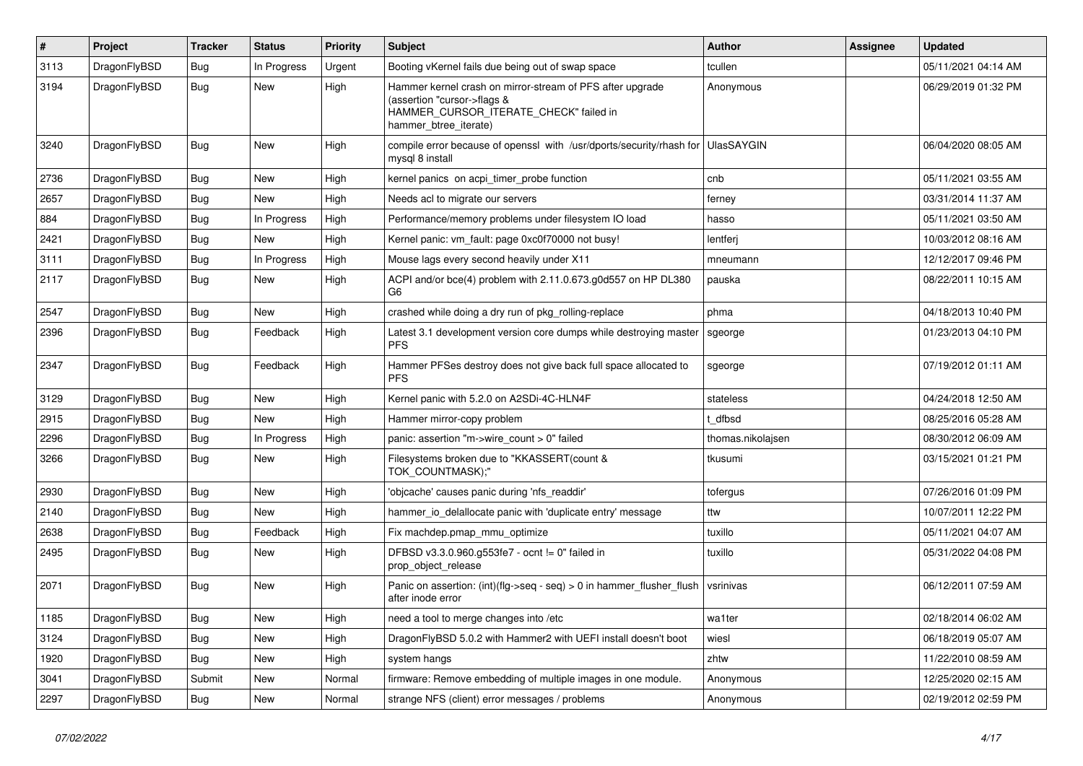| $\sharp$ | <b>Project</b> | <b>Tracker</b> | <b>Status</b> | <b>Priority</b> | <b>Subject</b>                                                                                                                                              | <b>Author</b>     | Assignee | Updated             |
|----------|----------------|----------------|---------------|-----------------|-------------------------------------------------------------------------------------------------------------------------------------------------------------|-------------------|----------|---------------------|
| 3113     | DragonFlyBSD   | Bug            | In Progress   | Urgent          | Booting vKernel fails due being out of swap space                                                                                                           | tcullen           |          | 05/11/2021 04:14 AM |
| 3194     | DragonFlyBSD   | <b>Bug</b>     | New           | High            | Hammer kernel crash on mirror-stream of PFS after upgrade<br>(assertion "cursor->flags &<br>HAMMER_CURSOR_ITERATE_CHECK" failed in<br>hammer btree iterate) | Anonymous         |          | 06/29/2019 01:32 PM |
| 3240     | DragonFlyBSD   | Bug            | <b>New</b>    | High            | compile error because of openssl with /usr/dports/security/rhash for<br>mysql 8 install                                                                     | <b>UlasSAYGIN</b> |          | 06/04/2020 08:05 AM |
| 2736     | DragonFlyBSD   | <b>Bug</b>     | <b>New</b>    | High            | kernel panics on acpi_timer_probe function                                                                                                                  | cnb               |          | 05/11/2021 03:55 AM |
| 2657     | DragonFlyBSD   | Bug            | <b>New</b>    | High            | Needs acl to migrate our servers                                                                                                                            | ferney            |          | 03/31/2014 11:37 AM |
| 884      | DragonFlyBSD   | <b>Bug</b>     | In Progress   | High            | Performance/memory problems under filesystem IO load                                                                                                        | hasso             |          | 05/11/2021 03:50 AM |
| 2421     | DragonFlyBSD   | Bug            | <b>New</b>    | High            | Kernel panic: vm fault: page 0xc0f70000 not busy!                                                                                                           | lentferi          |          | 10/03/2012 08:16 AM |
| 3111     | DragonFlyBSD   | Bug            | In Progress   | High            | Mouse lags every second heavily under X11                                                                                                                   | mneumann          |          | 12/12/2017 09:46 PM |
| 2117     | DragonFlyBSD   | <b>Bug</b>     | New           | High            | ACPI and/or bce(4) problem with 2.11.0.673.g0d557 on HP DL380<br>G <sub>6</sub>                                                                             | pauska            |          | 08/22/2011 10:15 AM |
| 2547     | DragonFlyBSD   | Bug            | New           | High            | crashed while doing a dry run of pkg rolling-replace                                                                                                        | phma              |          | 04/18/2013 10:40 PM |
| 2396     | DragonFlyBSD   | Bug            | Feedback      | High            | Latest 3.1 development version core dumps while destroying master<br><b>PFS</b>                                                                             | sgeorge           |          | 01/23/2013 04:10 PM |
| 2347     | DragonFlyBSD   | Bug            | Feedback      | High            | Hammer PFSes destroy does not give back full space allocated to<br><b>PFS</b>                                                                               | sgeorge           |          | 07/19/2012 01:11 AM |
| 3129     | DragonFlyBSD   | <b>Bug</b>     | <b>New</b>    | High            | Kernel panic with 5.2.0 on A2SDi-4C-HLN4F                                                                                                                   | stateless         |          | 04/24/2018 12:50 AM |
| 2915     | DragonFlyBSD   | Bug            | <b>New</b>    | High            | Hammer mirror-copy problem                                                                                                                                  | dfbsd             |          | 08/25/2016 05:28 AM |
| 2296     | DragonFlyBSD   | Bug            | In Progress   | High            | panic: assertion "m->wire count > 0" failed                                                                                                                 | thomas.nikolajsen |          | 08/30/2012 06:09 AM |
| 3266     | DragonFlyBSD   | Bug            | New           | High            | Filesystems broken due to "KKASSERT(count &<br>TOK COUNTMASK);"                                                                                             | tkusumi           |          | 03/15/2021 01:21 PM |
| 2930     | DragonFlyBSD   | Bug            | <b>New</b>    | High            | 'objcache' causes panic during 'nfs_readdir'                                                                                                                | tofergus          |          | 07/26/2016 01:09 PM |
| 2140     | DragonFlyBSD   | Bug            | <b>New</b>    | High            | hammer io delallocate panic with 'duplicate entry' message                                                                                                  | ttw               |          | 10/07/2011 12:22 PM |
| 2638     | DragonFlyBSD   | Bug            | Feedback      | High            | Fix machdep.pmap_mmu_optimize                                                                                                                               | tuxillo           |          | 05/11/2021 04:07 AM |
| 2495     | DragonFlyBSD   | <b>Bug</b>     | <b>New</b>    | High            | DFBSD v3.3.0.960.g553fe7 - ocnt != 0" failed in<br>prop_object_release                                                                                      | tuxillo           |          | 05/31/2022 04:08 PM |
| 2071     | DragonFlyBSD   | Bug            | <b>New</b>    | High            | Panic on assertion: (int)(flg->seq - seq) > 0 in hammer_flusher_flush<br>after inode error                                                                  | vsrinivas         |          | 06/12/2011 07:59 AM |
| 1185     | DragonFlyBSD   | <b>Bug</b>     | <b>New</b>    | High            | need a tool to merge changes into /etc                                                                                                                      | wa1ter            |          | 02/18/2014 06:02 AM |
| 3124     | DragonFlyBSD   | Bug            | <b>New</b>    | High            | DragonFlyBSD 5.0.2 with Hammer2 with UEFI install doesn't boot                                                                                              | wiesl             |          | 06/18/2019 05:07 AM |
| 1920     | DragonFlyBSD   | Bug            | <b>New</b>    | High            | system hangs                                                                                                                                                | zhtw              |          | 11/22/2010 08:59 AM |
| 3041     | DragonFlyBSD   | Submit         | <b>New</b>    | Normal          | firmware: Remove embedding of multiple images in one module.                                                                                                | Anonymous         |          | 12/25/2020 02:15 AM |
| 2297     | DragonFlyBSD   | Bug            | <b>New</b>    | Normal          | strange NFS (client) error messages / problems                                                                                                              | Anonymous         |          | 02/19/2012 02:59 PM |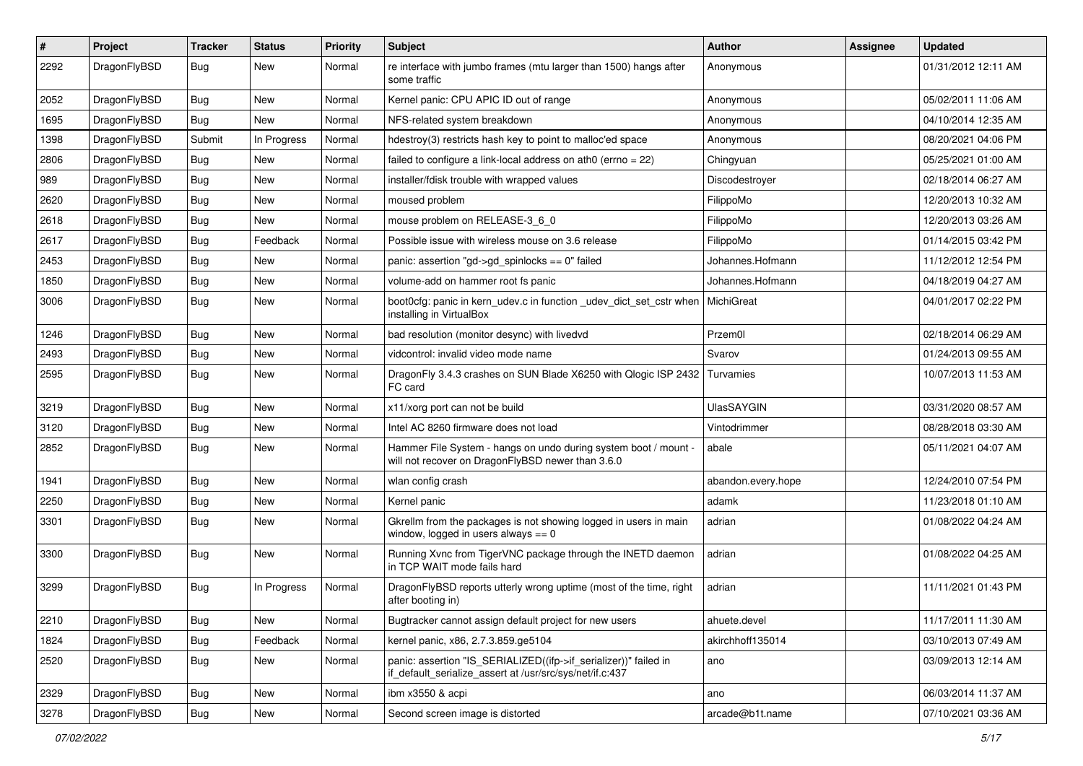| $\sharp$ | Project      | <b>Tracker</b> | <b>Status</b> | <b>Priority</b> | Subject                                                                                                                      | Author             | Assignee | <b>Updated</b>      |
|----------|--------------|----------------|---------------|-----------------|------------------------------------------------------------------------------------------------------------------------------|--------------------|----------|---------------------|
| 2292     | DragonFlyBSD | Bug            | <b>New</b>    | Normal          | re interface with jumbo frames (mtu larger than 1500) hangs after<br>some traffic                                            | Anonymous          |          | 01/31/2012 12:11 AM |
| 2052     | DragonFlyBSD | Bug            | <b>New</b>    | Normal          | Kernel panic: CPU APIC ID out of range                                                                                       | Anonymous          |          | 05/02/2011 11:06 AM |
| 1695     | DragonFlyBSD | <b>Bug</b>     | <b>New</b>    | Normal          | NFS-related system breakdown                                                                                                 | Anonymous          |          | 04/10/2014 12:35 AM |
| 1398     | DragonFlyBSD | Submit         | In Progress   | Normal          | hdestroy(3) restricts hash key to point to malloc'ed space                                                                   | Anonymous          |          | 08/20/2021 04:06 PM |
| 2806     | DragonFlyBSD | <b>Bug</b>     | New           | Normal          | failed to configure a link-local address on ath0 (errno = 22)                                                                | Chingyuan          |          | 05/25/2021 01:00 AM |
| 989      | DragonFlyBSD | <b>Bug</b>     | <b>New</b>    | Normal          | installer/fdisk trouble with wrapped values                                                                                  | Discodestroyer     |          | 02/18/2014 06:27 AM |
| 2620     | DragonFlyBSD | <b>Bug</b>     | New           | Normal          | moused problem                                                                                                               | FilippoMo          |          | 12/20/2013 10:32 AM |
| 2618     | DragonFlyBSD | <b>Bug</b>     | New           | Normal          | mouse problem on RELEASE-3_6_0                                                                                               | FilippoMo          |          | 12/20/2013 03:26 AM |
| 2617     | DragonFlyBSD | <b>Bug</b>     | Feedback      | Normal          | Possible issue with wireless mouse on 3.6 release                                                                            | FilippoMo          |          | 01/14/2015 03:42 PM |
| 2453     | DragonFlyBSD | <b>Bug</b>     | <b>New</b>    | Normal          | panic: assertion "gd->gd spinlocks == $0$ " failed                                                                           | Johannes.Hofmann   |          | 11/12/2012 12:54 PM |
| 1850     | DragonFlyBSD | Bug            | New           | Normal          | volume-add on hammer root fs panic                                                                                           | Johannes.Hofmann   |          | 04/18/2019 04:27 AM |
| 3006     | DragonFlyBSD | Bug            | <b>New</b>    | Normal          | boot0cfg: panic in kern_udev.c in function _udev_dict_set_cstr when<br>installing in VirtualBox                              | MichiGreat         |          | 04/01/2017 02:22 PM |
| 1246     | DragonFlyBSD | Bug            | <b>New</b>    | Normal          | bad resolution (monitor desync) with livedvd                                                                                 | Przem0l            |          | 02/18/2014 06:29 AM |
| 2493     | DragonFlyBSD | <b>Bug</b>     | New           | Normal          | vidcontrol: invalid video mode name                                                                                          | Svarov             |          | 01/24/2013 09:55 AM |
| 2595     | DragonFlyBSD | Bug            | New           | Normal          | DragonFly 3.4.3 crashes on SUN Blade X6250 with Qlogic ISP 2432<br>FC card                                                   | Turvamies          |          | 10/07/2013 11:53 AM |
| 3219     | DragonFlyBSD | Bug            | <b>New</b>    | Normal          | x11/xorg port can not be build                                                                                               | <b>UlasSAYGIN</b>  |          | 03/31/2020 08:57 AM |
| 3120     | DragonFlyBSD | <b>Bug</b>     | New           | Normal          | Intel AC 8260 firmware does not load                                                                                         | Vintodrimmer       |          | 08/28/2018 03:30 AM |
| 2852     | DragonFlyBSD | Bug            | <b>New</b>    | Normal          | Hammer File System - hangs on undo during system boot / mount -<br>will not recover on DragonFlyBSD newer than 3.6.0         | abale              |          | 05/11/2021 04:07 AM |
| 1941     | DragonFlyBSD | Bug            | <b>New</b>    | Normal          | wlan config crash                                                                                                            | abandon.every.hope |          | 12/24/2010 07:54 PM |
| 2250     | DragonFlyBSD | Bug            | <b>New</b>    | Normal          | Kernel panic                                                                                                                 | adamk              |          | 11/23/2018 01:10 AM |
| 3301     | DragonFlyBSD | <b>Bug</b>     | New           | Normal          | Gkrellm from the packages is not showing logged in users in main<br>window, logged in users always $== 0$                    | adrian             |          | 01/08/2022 04:24 AM |
| 3300     | DragonFlyBSD | Bug            | <b>New</b>    | Normal          | Running Xvnc from TigerVNC package through the INETD daemon<br>in TCP WAIT mode fails hard                                   | adrian             |          | 01/08/2022 04:25 AM |
| 3299     | DragonFlyBSD | <b>Bug</b>     | In Progress   | Normal          | DragonFlyBSD reports utterly wrong uptime (most of the time, right<br>after booting in)                                      | adrian             |          | 11/11/2021 01:43 PM |
| 2210     | DragonFlyBSD | Bug            | New           | Normal          | Bugtracker cannot assign default project for new users                                                                       | ahuete.devel       |          | 11/17/2011 11:30 AM |
| 1824     | DragonFlyBSD | <b>Bug</b>     | Feedback      | Normal          | kernel panic, x86, 2.7.3.859.ge5104                                                                                          | akirchhoff135014   |          | 03/10/2013 07:49 AM |
| 2520     | DragonFlyBSD | <b>Bug</b>     | New           | Normal          | panic: assertion "IS SERIALIZED((ifp->if serializer))" failed in<br>if_default_serialize_assert at /usr/src/sys/net/if.c:437 | ano                |          | 03/09/2013 12:14 AM |
| 2329     | DragonFlyBSD | Bug            | New           | Normal          | ibm x3550 & acpi                                                                                                             | ano                |          | 06/03/2014 11:37 AM |
| 3278     | DragonFlyBSD | <b>Bug</b>     | New           | Normal          | Second screen image is distorted                                                                                             | arcade@b1t.name    |          | 07/10/2021 03:36 AM |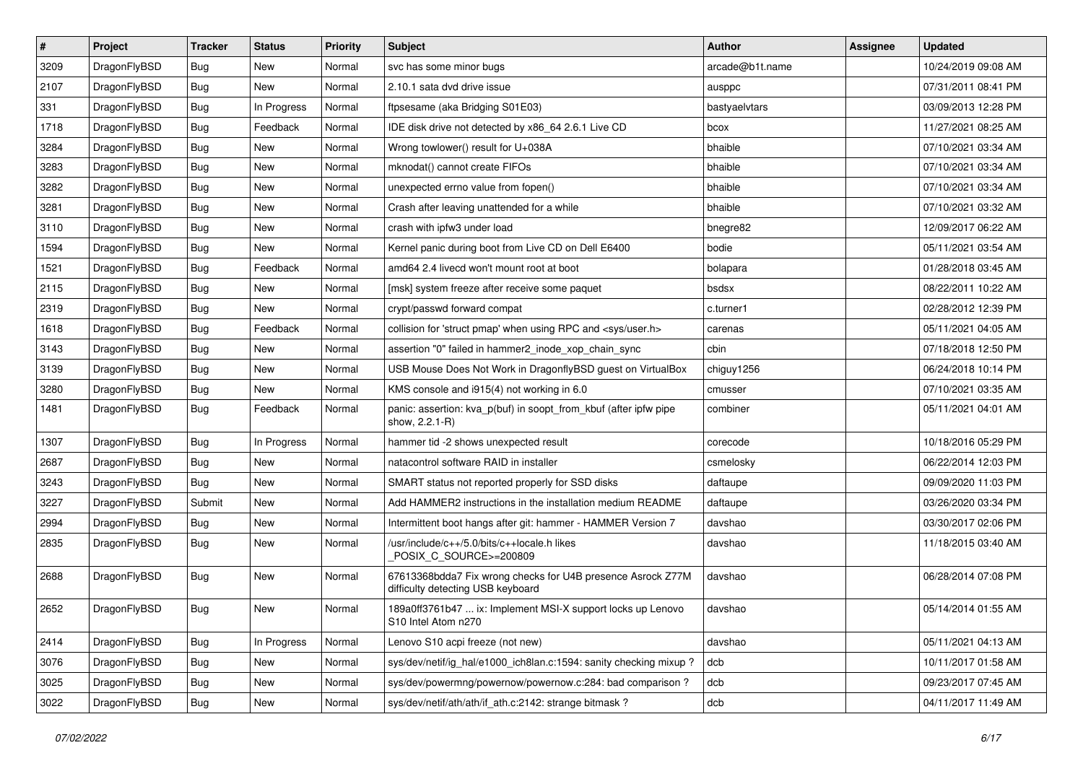| $\vert$ # | Project      | <b>Tracker</b> | <b>Status</b> | <b>Priority</b> | Subject                                                                                          | <b>Author</b>   | <b>Assignee</b> | <b>Updated</b>      |
|-----------|--------------|----------------|---------------|-----------------|--------------------------------------------------------------------------------------------------|-----------------|-----------------|---------------------|
| 3209      | DragonFlyBSD | Bug            | New           | Normal          | svc has some minor bugs                                                                          | arcade@b1t.name |                 | 10/24/2019 09:08 AM |
| 2107      | DragonFlyBSD | <b>Bug</b>     | <b>New</b>    | Normal          | 2.10.1 sata dvd drive issue                                                                      | ausppc          |                 | 07/31/2011 08:41 PM |
| 331       | DragonFlyBSD | <b>Bug</b>     | In Progress   | Normal          | ftpsesame (aka Bridging S01E03)                                                                  | bastyaelvtars   |                 | 03/09/2013 12:28 PM |
| 1718      | DragonFlyBSD | <b>Bug</b>     | Feedback      | Normal          | IDE disk drive not detected by x86 64 2.6.1 Live CD                                              | bcox            |                 | 11/27/2021 08:25 AM |
| 3284      | DragonFlyBSD | <b>Bug</b>     | <b>New</b>    | Normal          | Wrong towlower() result for U+038A                                                               | bhaible         |                 | 07/10/2021 03:34 AM |
| 3283      | DragonFlyBSD | <b>Bug</b>     | New           | Normal          | mknodat() cannot create FIFOs                                                                    | bhaible         |                 | 07/10/2021 03:34 AM |
| 3282      | DragonFlyBSD | <b>Bug</b>     | New           | Normal          | unexpected errno value from fopen()                                                              | bhaible         |                 | 07/10/2021 03:34 AM |
| 3281      | DragonFlyBSD | <b>Bug</b>     | New           | Normal          | Crash after leaving unattended for a while                                                       | bhaible         |                 | 07/10/2021 03:32 AM |
| 3110      | DragonFlyBSD | <b>Bug</b>     | New           | Normal          | crash with ipfw3 under load                                                                      | bnegre82        |                 | 12/09/2017 06:22 AM |
| 1594      | DragonFlyBSD | Bug            | New           | Normal          | Kernel panic during boot from Live CD on Dell E6400                                              | bodie           |                 | 05/11/2021 03:54 AM |
| 1521      | DragonFlyBSD | Bug            | Feedback      | Normal          | amd64 2.4 livecd won't mount root at boot                                                        | bolapara        |                 | 01/28/2018 03:45 AM |
| 2115      | DragonFlyBSD | <b>Bug</b>     | <b>New</b>    | Normal          | [msk] system freeze after receive some paquet                                                    | bsdsx           |                 | 08/22/2011 10:22 AM |
| 2319      | DragonFlyBSD | <b>Bug</b>     | New           | Normal          | crypt/passwd forward compat                                                                      | c.turner1       |                 | 02/28/2012 12:39 PM |
| 1618      | DragonFlyBSD | <b>Bug</b>     | Feedback      | Normal          | collision for 'struct pmap' when using RPC and <sys user.h=""></sys>                             | carenas         |                 | 05/11/2021 04:05 AM |
| 3143      | DragonFlyBSD | Bug            | <b>New</b>    | Normal          | assertion "0" failed in hammer2_inode_xop_chain_sync                                             | cbin            |                 | 07/18/2018 12:50 PM |
| 3139      | DragonFlyBSD | Bug            | New           | Normal          | USB Mouse Does Not Work in DragonflyBSD guest on VirtualBox                                      | chiguy1256      |                 | 06/24/2018 10:14 PM |
| 3280      | DragonFlyBSD | <b>Bug</b>     | New           | Normal          | KMS console and i915(4) not working in 6.0                                                       | cmusser         |                 | 07/10/2021 03:35 AM |
| 1481      | DragonFlyBSD | Bug            | Feedback      | Normal          | panic: assertion: kva_p(buf) in soopt_from_kbuf (after ipfw pipe<br>show, 2.2.1-R)               | combiner        |                 | 05/11/2021 04:01 AM |
| 1307      | DragonFlyBSD | Bug            | In Progress   | Normal          | hammer tid -2 shows unexpected result                                                            | corecode        |                 | 10/18/2016 05:29 PM |
| 2687      | DragonFlyBSD | Bug            | New           | Normal          | natacontrol software RAID in installer                                                           | csmelosky       |                 | 06/22/2014 12:03 PM |
| 3243      | DragonFlyBSD | <b>Bug</b>     | New           | Normal          | SMART status not reported properly for SSD disks                                                 | daftaupe        |                 | 09/09/2020 11:03 PM |
| 3227      | DragonFlyBSD | Submit         | New           | Normal          | Add HAMMER2 instructions in the installation medium README                                       | daftaupe        |                 | 03/26/2020 03:34 PM |
| 2994      | DragonFlyBSD | Bug            | New           | Normal          | Intermittent boot hangs after git: hammer - HAMMER Version 7                                     | davshao         |                 | 03/30/2017 02:06 PM |
| 2835      | DragonFlyBSD | <b>Bug</b>     | New           | Normal          | /usr/include/c++/5.0/bits/c++locale.h likes<br>POSIX_C_SOURCE>=200809                            | davshao         |                 | 11/18/2015 03:40 AM |
| 2688      | DragonFlyBSD | Bug            | <b>New</b>    | Normal          | 67613368bdda7 Fix wrong checks for U4B presence Asrock Z77M<br>difficulty detecting USB keyboard | davshao         |                 | 06/28/2014 07:08 PM |
| 2652      | DragonFlyBSD | Bug            | New           | Normal          | 189a0ff3761b47  ix: Implement MSI-X support locks up Lenovo<br>S10 Intel Atom n270               | davshao         |                 | 05/14/2014 01:55 AM |
| 2414      | DragonFlyBSD | <b>Bug</b>     | In Progress   | Normal          | Lenovo S10 acpi freeze (not new)                                                                 | davshao         |                 | 05/11/2021 04:13 AM |
| 3076      | DragonFlyBSD | <b>Bug</b>     | New           | Normal          | sys/dev/netif/ig hal/e1000 ich8lan.c:1594: sanity checking mixup?                                | dcb             |                 | 10/11/2017 01:58 AM |
| 3025      | DragonFlyBSD | <b>Bug</b>     | New           | Normal          | sys/dev/powermng/powernow/powernow.c:284: bad comparison ?                                       | dcb             |                 | 09/23/2017 07:45 AM |
| 3022      | DragonFlyBSD | Bug            | New           | Normal          | sys/dev/netif/ath/ath/if_ath.c:2142: strange bitmask?                                            | dcb             |                 | 04/11/2017 11:49 AM |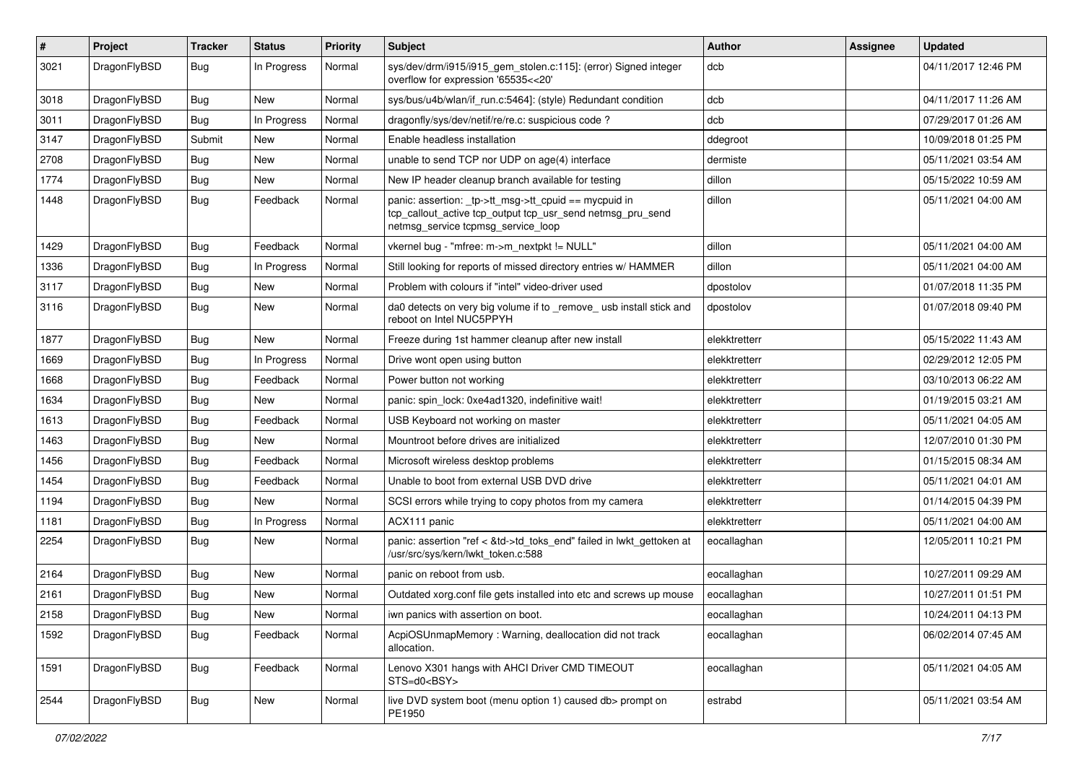| $\sharp$ | Project      | <b>Tracker</b> | <b>Status</b> | <b>Priority</b> | Subject                                                                                                                                                   | Author        | Assignee | <b>Updated</b>      |
|----------|--------------|----------------|---------------|-----------------|-----------------------------------------------------------------------------------------------------------------------------------------------------------|---------------|----------|---------------------|
| 3021     | DragonFlyBSD | Bug            | In Progress   | Normal          | sys/dev/drm/i915/i915_gem_stolen.c:115]: (error) Signed integer<br>overflow for expression '65535<<20'                                                    | dcb           |          | 04/11/2017 12:46 PM |
| 3018     | DragonFlyBSD | <b>Bug</b>     | <b>New</b>    | Normal          | sys/bus/u4b/wlan/if_run.c:5464]: (style) Redundant condition                                                                                              | dcb           |          | 04/11/2017 11:26 AM |
| 3011     | DragonFlyBSD | Bug            | In Progress   | Normal          | dragonfly/sys/dev/netif/re/re.c: suspicious code?                                                                                                         | dcb           |          | 07/29/2017 01:26 AM |
| 3147     | DragonFlyBSD | Submit         | <b>New</b>    | Normal          | Enable headless installation                                                                                                                              | ddegroot      |          | 10/09/2018 01:25 PM |
| 2708     | DragonFlyBSD | <b>Bug</b>     | <b>New</b>    | Normal          | unable to send TCP nor UDP on age(4) interface                                                                                                            | dermiste      |          | 05/11/2021 03:54 AM |
| 1774     | DragonFlyBSD | <b>Bug</b>     | <b>New</b>    | Normal          | New IP header cleanup branch available for testing                                                                                                        | dillon        |          | 05/15/2022 10:59 AM |
| 1448     | DragonFlyBSD | Bug            | Feedback      | Normal          | panic: assertion: _tp->tt_msg->tt_cpuid == mycpuid in<br>tcp_callout_active tcp_output tcp_usr_send netmsg_pru_send<br>netmsg_service tcpmsg_service_loop | dillon        |          | 05/11/2021 04:00 AM |
| 1429     | DragonFlyBSD | <b>Bug</b>     | Feedback      | Normal          | vkernel bug - "mfree: m->m_nextpkt != NULL"                                                                                                               | dillon        |          | 05/11/2021 04:00 AM |
| 1336     | DragonFlyBSD | <b>Bug</b>     | In Progress   | Normal          | Still looking for reports of missed directory entries w/ HAMMER                                                                                           | dillon        |          | 05/11/2021 04:00 AM |
| 3117     | DragonFlyBSD | <b>Bug</b>     | <b>New</b>    | Normal          | Problem with colours if "intel" video-driver used                                                                                                         | dpostolov     |          | 01/07/2018 11:35 PM |
| 3116     | DragonFlyBSD | <b>Bug</b>     | New           | Normal          | da0 detects on very big volume if to remove usb install stick and<br>reboot on Intel NUC5PPYH                                                             | dpostolov     |          | 01/07/2018 09:40 PM |
| 1877     | DragonFlyBSD | Bug            | <b>New</b>    | Normal          | Freeze during 1st hammer cleanup after new install                                                                                                        | elekktretterr |          | 05/15/2022 11:43 AM |
| 1669     | DragonFlyBSD | <b>Bug</b>     | In Progress   | Normal          | Drive wont open using button                                                                                                                              | elekktretterr |          | 02/29/2012 12:05 PM |
| 1668     | DragonFlyBSD | Bug            | Feedback      | Normal          | Power button not working                                                                                                                                  | elekktretterr |          | 03/10/2013 06:22 AM |
| 1634     | DragonFlyBSD | <b>Bug</b>     | <b>New</b>    | Normal          | panic: spin lock: 0xe4ad1320, indefinitive wait!                                                                                                          | elekktretterr |          | 01/19/2015 03:21 AM |
| 1613     | DragonFlyBSD | <b>Bug</b>     | Feedback      | Normal          | USB Keyboard not working on master                                                                                                                        | elekktretterr |          | 05/11/2021 04:05 AM |
| 1463     | DragonFlyBSD | <b>Bug</b>     | <b>New</b>    | Normal          | Mountroot before drives are initialized                                                                                                                   | elekktretterr |          | 12/07/2010 01:30 PM |
| 1456     | DragonFlyBSD | <b>Bug</b>     | Feedback      | Normal          | Microsoft wireless desktop problems                                                                                                                       | elekktretterr |          | 01/15/2015 08:34 AM |
| 1454     | DragonFlyBSD | <b>Bug</b>     | Feedback      | Normal          | Unable to boot from external USB DVD drive                                                                                                                | elekktretterr |          | 05/11/2021 04:01 AM |
| 1194     | DragonFlyBSD | Bug            | <b>New</b>    | Normal          | SCSI errors while trying to copy photos from my camera                                                                                                    | elekktretterr |          | 01/14/2015 04:39 PM |
| 1181     | DragonFlyBSD | <b>Bug</b>     | In Progress   | Normal          | ACX111 panic                                                                                                                                              | elekktretterr |          | 05/11/2021 04:00 AM |
| 2254     | DragonFlyBSD | Bug            | <b>New</b>    | Normal          | panic: assertion "ref < &td->td_toks_end" failed in lwkt_gettoken at<br>/usr/src/sys/kern/lwkt_token.c:588                                                | eocallaghan   |          | 12/05/2011 10:21 PM |
| 2164     | DragonFlyBSD | Bug            | <b>New</b>    | Normal          | panic on reboot from usb.                                                                                                                                 | eocallaghan   |          | 10/27/2011 09:29 AM |
| 2161     | DragonFlyBSD | <b>Bug</b>     | <b>New</b>    | Normal          | Outdated xorg.conf file gets installed into etc and screws up mouse                                                                                       | eocallaghan   |          | 10/27/2011 01:51 PM |
| 2158     | DragonFlyBSD | <b>Bug</b>     | New           | Normal          | iwn panics with assertion on boot.                                                                                                                        | eocallaghan   |          | 10/24/2011 04:13 PM |
| 1592     | DragonFlyBSD | <b>Bug</b>     | Feedback      | Normal          | AcpiOSUnmapMemory: Warning, deallocation did not track<br>allocation.                                                                                     | eocallaghan   |          | 06/02/2014 07:45 AM |
| 1591     | DragonFlyBSD | <b>Bug</b>     | Feedback      | Normal          | Lenovo X301 hangs with AHCI Driver CMD TIMEOUT<br>STS=d0 <bsy></bsy>                                                                                      | eocallaghan   |          | 05/11/2021 04:05 AM |
| 2544     | DragonFlyBSD | <b>Bug</b>     | New           | Normal          | live DVD system boot (menu option 1) caused db> prompt on<br>PE1950                                                                                       | estrabd       |          | 05/11/2021 03:54 AM |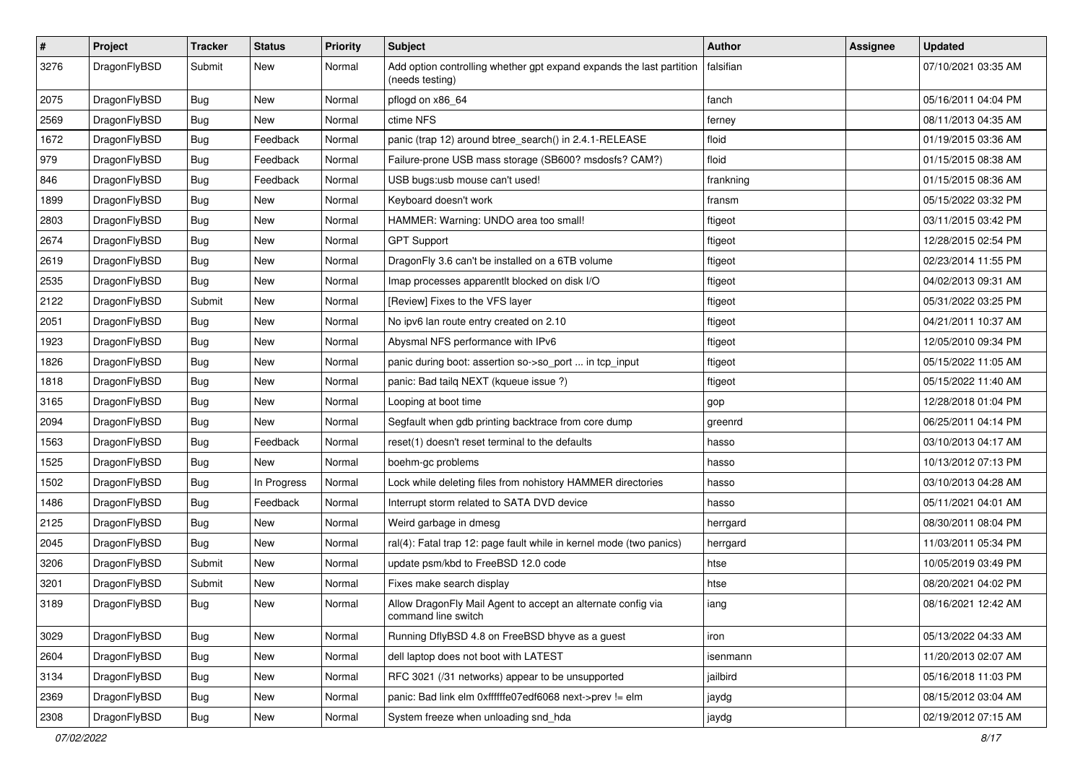| $\pmb{\#}$ | Project      | <b>Tracker</b> | <b>Status</b> | <b>Priority</b> | Subject                                                                                 | <b>Author</b> | Assignee | <b>Updated</b>      |
|------------|--------------|----------------|---------------|-----------------|-----------------------------------------------------------------------------------------|---------------|----------|---------------------|
| 3276       | DragonFlyBSD | Submit         | New           | Normal          | Add option controlling whether gpt expand expands the last partition<br>(needs testing) | falsifian     |          | 07/10/2021 03:35 AM |
| 2075       | DragonFlyBSD | <b>Bug</b>     | <b>New</b>    | Normal          | pflogd on x86 64                                                                        | fanch         |          | 05/16/2011 04:04 PM |
| 2569       | DragonFlyBSD | Bug            | New           | Normal          | ctime NFS                                                                               | ferney        |          | 08/11/2013 04:35 AM |
| 1672       | DragonFlyBSD | Bug            | Feedback      | Normal          | panic (trap 12) around btree_search() in 2.4.1-RELEASE                                  | floid         |          | 01/19/2015 03:36 AM |
| 979        | DragonFlyBSD | <b>Bug</b>     | Feedback      | Normal          | Failure-prone USB mass storage (SB600? msdosfs? CAM?)                                   | floid         |          | 01/15/2015 08:38 AM |
| 846        | DragonFlyBSD | Bug            | Feedback      | Normal          | USB bugs:usb mouse can't used!                                                          | frankning     |          | 01/15/2015 08:36 AM |
| 1899       | DragonFlyBSD | Bug            | New           | Normal          | Keyboard doesn't work                                                                   | fransm        |          | 05/15/2022 03:32 PM |
| 2803       | DragonFlyBSD | Bug            | <b>New</b>    | Normal          | HAMMER: Warning: UNDO area too small!                                                   | ftigeot       |          | 03/11/2015 03:42 PM |
| 2674       | DragonFlyBSD | Bug            | New           | Normal          | <b>GPT Support</b>                                                                      | ftigeot       |          | 12/28/2015 02:54 PM |
| 2619       | DragonFlyBSD | Bug            | New           | Normal          | DragonFly 3.6 can't be installed on a 6TB volume                                        | ftigeot       |          | 02/23/2014 11:55 PM |
| 2535       | DragonFlyBSD | <b>Bug</b>     | New           | Normal          | Imap processes apparentlt blocked on disk I/O                                           | ftigeot       |          | 04/02/2013 09:31 AM |
| 2122       | DragonFlyBSD | Submit         | New           | Normal          | [Review] Fixes to the VFS layer                                                         | ftigeot       |          | 05/31/2022 03:25 PM |
| 2051       | DragonFlyBSD | <b>Bug</b>     | <b>New</b>    | Normal          | No ipv6 lan route entry created on 2.10                                                 | ftigeot       |          | 04/21/2011 10:37 AM |
| 1923       | DragonFlyBSD | Bug            | New           | Normal          | Abysmal NFS performance with IPv6                                                       | ftigeot       |          | 12/05/2010 09:34 PM |
| 1826       | DragonFlyBSD | <b>Bug</b>     | <b>New</b>    | Normal          | panic during boot: assertion so->so_port  in tcp_input                                  | ftigeot       |          | 05/15/2022 11:05 AM |
| 1818       | DragonFlyBSD | Bug            | New           | Normal          | panic: Bad tailq NEXT (kqueue issue ?)                                                  | ftigeot       |          | 05/15/2022 11:40 AM |
| 3165       | DragonFlyBSD | <b>Bug</b>     | <b>New</b>    | Normal          | Looping at boot time                                                                    | gop           |          | 12/28/2018 01:04 PM |
| 2094       | DragonFlyBSD | <b>Bug</b>     | New           | Normal          | Segfault when gdb printing backtrace from core dump                                     | greenrd       |          | 06/25/2011 04:14 PM |
| 1563       | DragonFlyBSD | Bug            | Feedback      | Normal          | reset(1) doesn't reset terminal to the defaults                                         | hasso         |          | 03/10/2013 04:17 AM |
| 1525       | DragonFlyBSD | Bug            | New           | Normal          | boehm-gc problems                                                                       | hasso         |          | 10/13/2012 07:13 PM |
| 1502       | DragonFlyBSD | <b>Bug</b>     | In Progress   | Normal          | Lock while deleting files from nohistory HAMMER directories                             | hasso         |          | 03/10/2013 04:28 AM |
| 1486       | DragonFlyBSD | Bug            | Feedback      | Normal          | Interrupt storm related to SATA DVD device                                              | hasso         |          | 05/11/2021 04:01 AM |
| 2125       | DragonFlyBSD | Bug            | New           | Normal          | Weird garbage in dmesg                                                                  | herrgard      |          | 08/30/2011 08:04 PM |
| 2045       | DragonFlyBSD | <b>Bug</b>     | New           | Normal          | ral(4): Fatal trap 12: page fault while in kernel mode (two panics)                     | herrgard      |          | 11/03/2011 05:34 PM |
| 3206       | DragonFlyBSD | Submit         | New           | Normal          | update psm/kbd to FreeBSD 12.0 code                                                     | htse          |          | 10/05/2019 03:49 PM |
| 3201       | DragonFlyBSD | Submit         | <b>New</b>    | Normal          | Fixes make search display                                                               | htse          |          | 08/20/2021 04:02 PM |
| 3189       | DragonFlyBSD | Bug            | New           | Normal          | Allow DragonFly Mail Agent to accept an alternate config via<br>command line switch     | iang          |          | 08/16/2021 12:42 AM |
| 3029       | DragonFlyBSD | <b>Bug</b>     | New           | Normal          | Running DflyBSD 4.8 on FreeBSD bhyve as a guest                                         | iron          |          | 05/13/2022 04:33 AM |
| 2604       | DragonFlyBSD | <b>Bug</b>     | New           | Normal          | dell laptop does not boot with LATEST                                                   | isenmann      |          | 11/20/2013 02:07 AM |
| 3134       | DragonFlyBSD | Bug            | New           | Normal          | RFC 3021 (/31 networks) appear to be unsupported                                        | jailbird      |          | 05/16/2018 11:03 PM |
| 2369       | DragonFlyBSD | <b>Bug</b>     | New           | Normal          | panic: Bad link elm 0xffffffe07edf6068 next->prev != elm                                | jaydg         |          | 08/15/2012 03:04 AM |
| 2308       | DragonFlyBSD | <b>Bug</b>     | New           | Normal          | System freeze when unloading snd_hda                                                    | jaydg         |          | 02/19/2012 07:15 AM |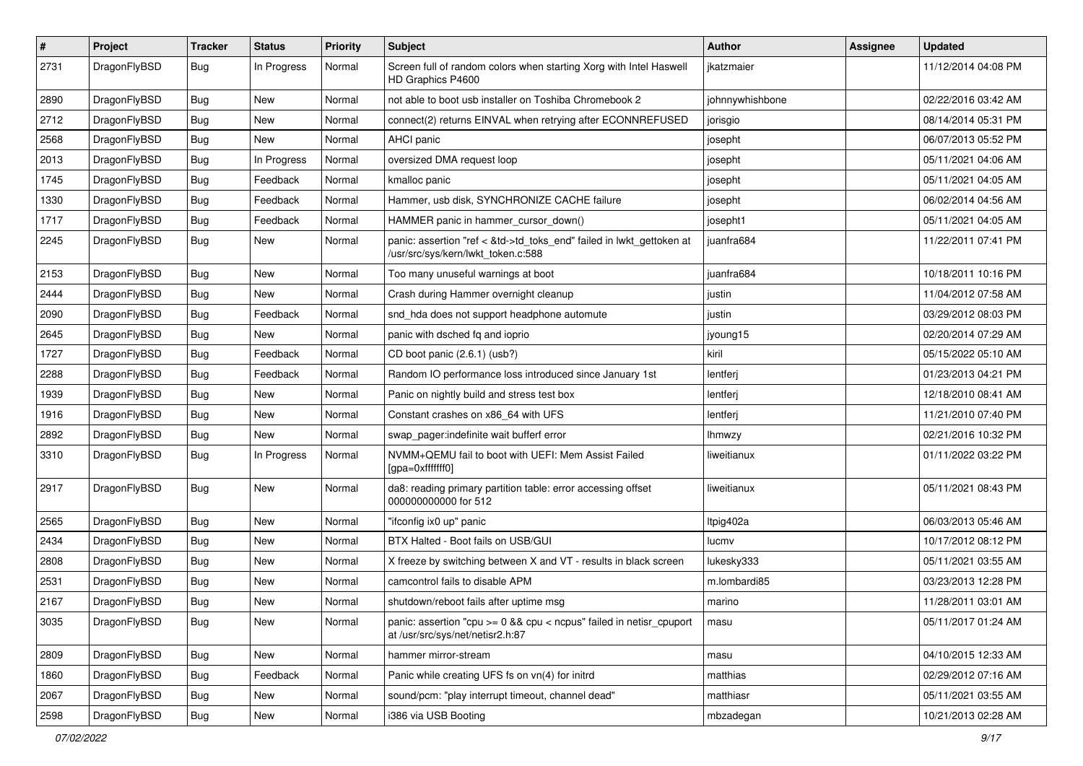| $\sharp$ | Project      | <b>Tracker</b> | <b>Status</b> | <b>Priority</b> | Subject                                                                                                    | Author          | Assignee | <b>Updated</b>      |
|----------|--------------|----------------|---------------|-----------------|------------------------------------------------------------------------------------------------------------|-----------------|----------|---------------------|
| 2731     | DragonFlyBSD | <b>Bug</b>     | In Progress   | Normal          | Screen full of random colors when starting Xorg with Intel Haswell<br>HD Graphics P4600                    | jkatzmaier      |          | 11/12/2014 04:08 PM |
| 2890     | DragonFlyBSD | Bug            | <b>New</b>    | Normal          | not able to boot usb installer on Toshiba Chromebook 2                                                     | johnnywhishbone |          | 02/22/2016 03:42 AM |
| 2712     | DragonFlyBSD | <b>Bug</b>     | <b>New</b>    | Normal          | connect(2) returns EINVAL when retrying after ECONNREFUSED                                                 | jorisgio        |          | 08/14/2014 05:31 PM |
| 2568     | DragonFlyBSD | <b>Bug</b>     | <b>New</b>    | Normal          | <b>AHCI</b> panic                                                                                          | josepht         |          | 06/07/2013 05:52 PM |
| 2013     | DragonFlyBSD | <b>Bug</b>     | In Progress   | Normal          | oversized DMA request loop                                                                                 | josepht         |          | 05/11/2021 04:06 AM |
| 1745     | DragonFlyBSD | <b>Bug</b>     | Feedback      | Normal          | kmalloc panic                                                                                              | josepht         |          | 05/11/2021 04:05 AM |
| 1330     | DragonFlyBSD | <b>Bug</b>     | Feedback      | Normal          | Hammer, usb disk, SYNCHRONIZE CACHE failure                                                                | josepht         |          | 06/02/2014 04:56 AM |
| 1717     | DragonFlyBSD | <b>Bug</b>     | Feedback      | Normal          | HAMMER panic in hammer cursor down()                                                                       | josepht1        |          | 05/11/2021 04:05 AM |
| 2245     | DragonFlyBSD | <b>Bug</b>     | New           | Normal          | panic: assertion "ref < &td->td_toks_end" failed in lwkt_gettoken at<br>/usr/src/sys/kern/lwkt_token.c:588 | juanfra684      |          | 11/22/2011 07:41 PM |
| 2153     | DragonFlyBSD | Bug            | <b>New</b>    | Normal          | Too many unuseful warnings at boot                                                                         | juanfra684      |          | 10/18/2011 10:16 PM |
| 2444     | DragonFlyBSD | <b>Bug</b>     | <b>New</b>    | Normal          | Crash during Hammer overnight cleanup                                                                      | justin          |          | 11/04/2012 07:58 AM |
| 2090     | DragonFlyBSD | Bug            | Feedback      | Normal          | snd_hda does not support headphone automute                                                                | justin          |          | 03/29/2012 08:03 PM |
| 2645     | DragonFlyBSD | Bug            | <b>New</b>    | Normal          | panic with dsched fq and ioprio                                                                            | jyoung15        |          | 02/20/2014 07:29 AM |
| 1727     | DragonFlyBSD | <b>Bug</b>     | Feedback      | Normal          | CD boot panic (2.6.1) (usb?)                                                                               | kiril           |          | 05/15/2022 05:10 AM |
| 2288     | DragonFlyBSD | <b>Bug</b>     | Feedback      | Normal          | Random IO performance loss introduced since January 1st                                                    | lentferj        |          | 01/23/2013 04:21 PM |
| 1939     | DragonFlyBSD | Bug            | <b>New</b>    | Normal          | Panic on nightly build and stress test box                                                                 | lentferj        |          | 12/18/2010 08:41 AM |
| 1916     | DragonFlyBSD | <b>Bug</b>     | New           | Normal          | Constant crashes on x86 64 with UFS                                                                        | lentferj        |          | 11/21/2010 07:40 PM |
| 2892     | DragonFlyBSD | Bug            | New           | Normal          | swap_pager:indefinite wait bufferf error                                                                   | <b>Ihmwzy</b>   |          | 02/21/2016 10:32 PM |
| 3310     | DragonFlyBSD | <b>Bug</b>     | In Progress   | Normal          | NVMM+QEMU fail to boot with UEFI: Mem Assist Failed<br>[gpa=0xfffffff0]                                    | liweitianux     |          | 01/11/2022 03:22 PM |
| 2917     | DragonFlyBSD | <b>Bug</b>     | New           | Normal          | da8: reading primary partition table: error accessing offset<br>000000000000 for 512                       | liweitianux     |          | 05/11/2021 08:43 PM |
| 2565     | DragonFlyBSD | Bug            | <b>New</b>    | Normal          | "ifconfig ix0 up" panic                                                                                    | Itpig402a       |          | 06/03/2013 05:46 AM |
| 2434     | DragonFlyBSD | Bug            | <b>New</b>    | Normal          | BTX Halted - Boot fails on USB/GUI                                                                         | lucmv           |          | 10/17/2012 08:12 PM |
| 2808     | DragonFlyBSD | <b>Bug</b>     | <b>New</b>    | Normal          | X freeze by switching between X and VT - results in black screen                                           | lukesky333      |          | 05/11/2021 03:55 AM |
| 2531     | DragonFlyBSD | <b>Bug</b>     | New           | Normal          | camcontrol fails to disable APM                                                                            | m.lombardi85    |          | 03/23/2013 12:28 PM |
| 2167     | DragonFlyBSD | <b>Bug</b>     | New           | Normal          | shutdown/reboot fails after uptime msg                                                                     | marino          |          | 11/28/2011 03:01 AM |
| 3035     | DragonFlyBSD | Bug            | New           | Normal          | panic: assertion "cpu >= 0 && cpu < ncpus" failed in netisr_cpuport<br>at /usr/src/sys/net/netisr2.h:87    | masu            |          | 05/11/2017 01:24 AM |
| 2809     | DragonFlyBSD | <b>Bug</b>     | New           | Normal          | hammer mirror-stream                                                                                       | masu            |          | 04/10/2015 12:33 AM |
| 1860     | DragonFlyBSD | <b>Bug</b>     | Feedback      | Normal          | Panic while creating UFS fs on vn(4) for initrd                                                            | matthias        |          | 02/29/2012 07:16 AM |
| 2067     | DragonFlyBSD | <b>Bug</b>     | New           | Normal          | sound/pcm: "play interrupt timeout, channel dead"                                                          | matthiasr       |          | 05/11/2021 03:55 AM |
| 2598     | DragonFlyBSD | <b>Bug</b>     | New           | Normal          | i386 via USB Booting                                                                                       | mbzadegan       |          | 10/21/2013 02:28 AM |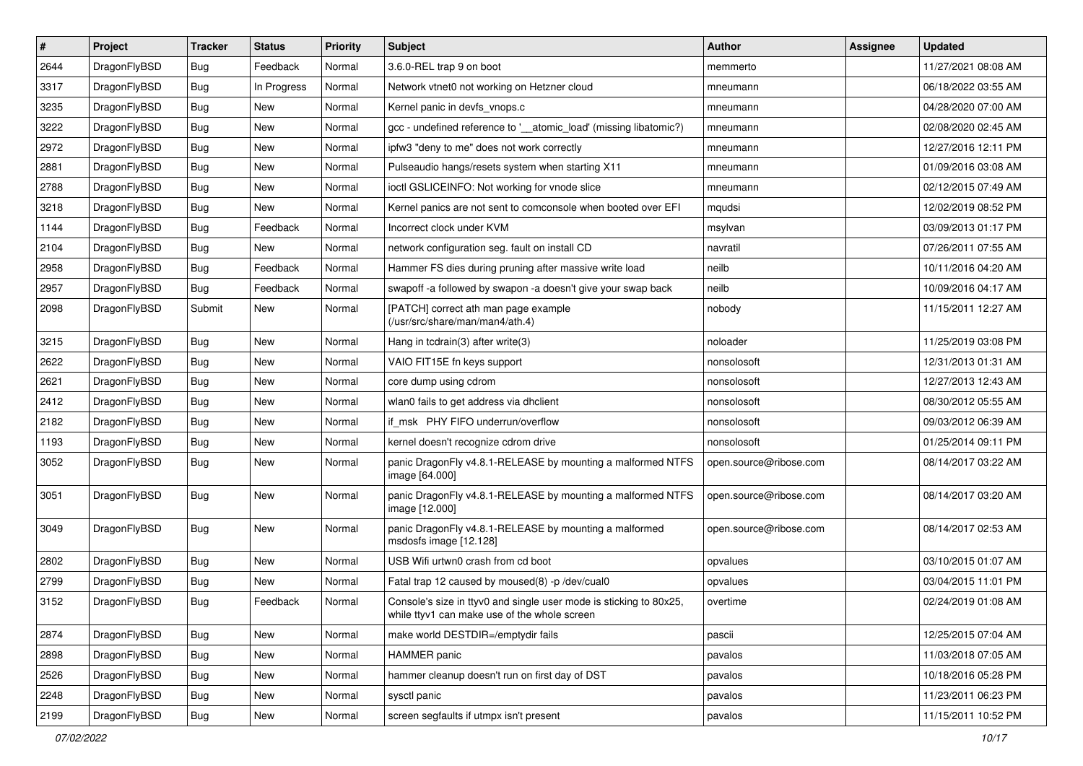| $\pmb{\#}$ | Project      | <b>Tracker</b> | <b>Status</b> | <b>Priority</b> | Subject                                                                                                            | <b>Author</b>          | Assignee | <b>Updated</b>      |
|------------|--------------|----------------|---------------|-----------------|--------------------------------------------------------------------------------------------------------------------|------------------------|----------|---------------------|
| 2644       | DragonFlyBSD | Bug            | Feedback      | Normal          | 3.6.0-REL trap 9 on boot                                                                                           | memmerto               |          | 11/27/2021 08:08 AM |
| 3317       | DragonFlyBSD | Bug            | In Progress   | Normal          | Network vtnet0 not working on Hetzner cloud                                                                        | mneumann               |          | 06/18/2022 03:55 AM |
| 3235       | DragonFlyBSD | Bug            | New           | Normal          | Kernel panic in devfs vnops.c                                                                                      | mneumann               |          | 04/28/2020 07:00 AM |
| 3222       | DragonFlyBSD | Bug            | <b>New</b>    | Normal          | gcc - undefined reference to '__atomic_load' (missing libatomic?)                                                  | mneumann               |          | 02/08/2020 02:45 AM |
| 2972       | DragonFlyBSD | Bug            | <b>New</b>    | Normal          | ipfw3 "deny to me" does not work correctly                                                                         | mneumann               |          | 12/27/2016 12:11 PM |
| 2881       | DragonFlyBSD | <b>Bug</b>     | New           | Normal          | Pulseaudio hangs/resets system when starting X11                                                                   | mneumann               |          | 01/09/2016 03:08 AM |
| 2788       | DragonFlyBSD | Bug            | <b>New</b>    | Normal          | ioctl GSLICEINFO: Not working for vnode slice                                                                      | mneumann               |          | 02/12/2015 07:49 AM |
| 3218       | DragonFlyBSD | Bug            | <b>New</b>    | Normal          | Kernel panics are not sent to comconsole when booted over EFI                                                      | mqudsi                 |          | 12/02/2019 08:52 PM |
| 1144       | DragonFlyBSD | Bug            | Feedback      | Normal          | Incorrect clock under KVM                                                                                          | msylvan                |          | 03/09/2013 01:17 PM |
| 2104       | DragonFlyBSD | Bug            | New           | Normal          | network configuration seg. fault on install CD                                                                     | navratil               |          | 07/26/2011 07:55 AM |
| 2958       | DragonFlyBSD | Bug            | Feedback      | Normal          | Hammer FS dies during pruning after massive write load                                                             | neilb                  |          | 10/11/2016 04:20 AM |
| 2957       | DragonFlyBSD | Bug            | Feedback      | Normal          | swapoff -a followed by swapon -a doesn't give your swap back                                                       | neilb                  |          | 10/09/2016 04:17 AM |
| 2098       | DragonFlyBSD | Submit         | New           | Normal          | [PATCH] correct ath man page example<br>(/usr/src/share/man/man4/ath.4)                                            | nobody                 |          | 11/15/2011 12:27 AM |
| 3215       | DragonFlyBSD | Bug            | <b>New</b>    | Normal          | Hang in tcdrain(3) after write(3)                                                                                  | noloader               |          | 11/25/2019 03:08 PM |
| 2622       | DragonFlyBSD | Bug            | <b>New</b>    | Normal          | VAIO FIT15E fn keys support                                                                                        | nonsolosoft            |          | 12/31/2013 01:31 AM |
| 2621       | DragonFlyBSD | Bug            | <b>New</b>    | Normal          | core dump using cdrom                                                                                              | nonsolosoft            |          | 12/27/2013 12:43 AM |
| 2412       | DragonFlyBSD | Bug            | New           | Normal          | wlan0 fails to get address via dhclient                                                                            | nonsolosoft            |          | 08/30/2012 05:55 AM |
| 2182       | DragonFlyBSD | Bug            | New           | Normal          | if msk PHY FIFO underrun/overflow                                                                                  | nonsolosoft            |          | 09/03/2012 06:39 AM |
| 1193       | DragonFlyBSD | Bug            | New           | Normal          | kernel doesn't recognize cdrom drive                                                                               | nonsolosoft            |          | 01/25/2014 09:11 PM |
| 3052       | DragonFlyBSD | Bug            | New           | Normal          | panic DragonFly v4.8.1-RELEASE by mounting a malformed NTFS<br>image [64.000]                                      | open.source@ribose.com |          | 08/14/2017 03:22 AM |
| 3051       | DragonFlyBSD | Bug            | <b>New</b>    | Normal          | panic DragonFly v4.8.1-RELEASE by mounting a malformed NTFS<br>image [12.000]                                      | open.source@ribose.com |          | 08/14/2017 03:20 AM |
| 3049       | DragonFlyBSD | Bug            | <b>New</b>    | Normal          | panic DragonFly v4.8.1-RELEASE by mounting a malformed<br>msdosfs image [12.128]                                   | open.source@ribose.com |          | 08/14/2017 02:53 AM |
| 2802       | DragonFlyBSD | Bug            | <b>New</b>    | Normal          | USB Wifi urtwn0 crash from cd boot                                                                                 | opvalues               |          | 03/10/2015 01:07 AM |
| 2799       | DragonFlyBSD | Bug            | New           | Normal          | Fatal trap 12 caused by moused(8) -p/dev/cual0                                                                     | opvalues               |          | 03/04/2015 11:01 PM |
| 3152       | DragonFlyBSD | Bug            | Feedback      | Normal          | Console's size in ttyv0 and single user mode is sticking to 80x25,<br>while ttyv1 can make use of the whole screen | overtime               |          | 02/24/2019 01:08 AM |
| 2874       | DragonFlyBSD | Bug            | New           | Normal          | make world DESTDIR=/emptydir fails                                                                                 | pascii                 |          | 12/25/2015 07:04 AM |
| 2898       | DragonFlyBSD | <b>Bug</b>     | New           | Normal          | <b>HAMMER</b> panic                                                                                                | pavalos                |          | 11/03/2018 07:05 AM |
| 2526       | DragonFlyBSD | <b>Bug</b>     | New           | Normal          | hammer cleanup doesn't run on first day of DST                                                                     | pavalos                |          | 10/18/2016 05:28 PM |
| 2248       | DragonFlyBSD | Bug            | New           | Normal          | sysctl panic                                                                                                       | pavalos                |          | 11/23/2011 06:23 PM |
| 2199       | DragonFlyBSD | Bug            | New           | Normal          | screen segfaults if utmpx isn't present                                                                            | pavalos                |          | 11/15/2011 10:52 PM |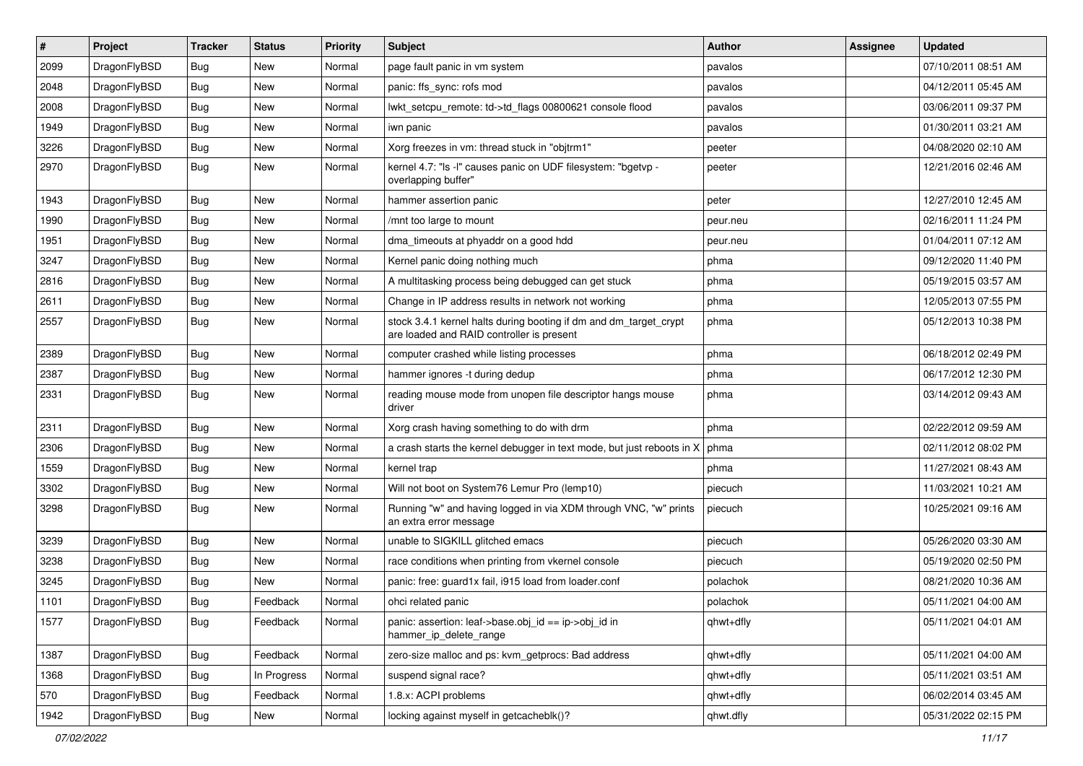| $\sharp$ | Project      | <b>Tracker</b> | <b>Status</b> | <b>Priority</b> | Subject                                                                                                        | <b>Author</b> | Assignee | <b>Updated</b>      |
|----------|--------------|----------------|---------------|-----------------|----------------------------------------------------------------------------------------------------------------|---------------|----------|---------------------|
| 2099     | DragonFlyBSD | Bug            | New           | Normal          | page fault panic in vm system                                                                                  | pavalos       |          | 07/10/2011 08:51 AM |
| 2048     | DragonFlyBSD | Bug            | New           | Normal          | panic: ffs_sync: rofs mod                                                                                      | pavalos       |          | 04/12/2011 05:45 AM |
| 2008     | DragonFlyBSD | <b>Bug</b>     | New           | Normal          | lwkt_setcpu_remote: td->td_flags 00800621 console flood                                                        | pavalos       |          | 03/06/2011 09:37 PM |
| 1949     | DragonFlyBSD | Bug            | New           | Normal          | iwn panic                                                                                                      | pavalos       |          | 01/30/2011 03:21 AM |
| 3226     | DragonFlyBSD | Bug            | New           | Normal          | Xorg freezes in vm: thread stuck in "objtrm1"                                                                  | peeter        |          | 04/08/2020 02:10 AM |
| 2970     | DragonFlyBSD | Bug            | New           | Normal          | kernel 4.7: "Is -I" causes panic on UDF filesystem: "bgetvp -<br>overlapping buffer"                           | peeter        |          | 12/21/2016 02:46 AM |
| 1943     | DragonFlyBSD | Bug            | <b>New</b>    | Normal          | hammer assertion panic                                                                                         | peter         |          | 12/27/2010 12:45 AM |
| 1990     | DragonFlyBSD | Bug            | New           | Normal          | /mnt too large to mount                                                                                        | peur.neu      |          | 02/16/2011 11:24 PM |
| 1951     | DragonFlyBSD | Bug            | <b>New</b>    | Normal          | dma timeouts at phyaddr on a good hdd                                                                          | peur.neu      |          | 01/04/2011 07:12 AM |
| 3247     | DragonFlyBSD | Bug            | New           | Normal          | Kernel panic doing nothing much                                                                                | phma          |          | 09/12/2020 11:40 PM |
| 2816     | DragonFlyBSD | Bug            | New           | Normal          | A multitasking process being debugged can get stuck                                                            | phma          |          | 05/19/2015 03:57 AM |
| 2611     | DragonFlyBSD | <b>Bug</b>     | New           | Normal          | Change in IP address results in network not working                                                            | phma          |          | 12/05/2013 07:55 PM |
| 2557     | DragonFlyBSD | Bug            | <b>New</b>    | Normal          | stock 3.4.1 kernel halts during booting if dm and dm_target_crypt<br>are loaded and RAID controller is present | phma          |          | 05/12/2013 10:38 PM |
| 2389     | DragonFlyBSD | Bug            | <b>New</b>    | Normal          | computer crashed while listing processes                                                                       | phma          |          | 06/18/2012 02:49 PM |
| 2387     | DragonFlyBSD | <b>Bug</b>     | New           | Normal          | hammer ignores -t during dedup                                                                                 | phma          |          | 06/17/2012 12:30 PM |
| 2331     | DragonFlyBSD | Bug            | New           | Normal          | reading mouse mode from unopen file descriptor hangs mouse<br>driver                                           | phma          |          | 03/14/2012 09:43 AM |
| 2311     | DragonFlyBSD | Bug            | <b>New</b>    | Normal          | Xorg crash having something to do with drm                                                                     | phma          |          | 02/22/2012 09:59 AM |
| 2306     | DragonFlyBSD | Bug            | New           | Normal          | a crash starts the kernel debugger in text mode, but just reboots in X                                         | phma          |          | 02/11/2012 08:02 PM |
| 1559     | DragonFlyBSD | Bug            | New           | Normal          | kernel trap                                                                                                    | phma          |          | 11/27/2021 08:43 AM |
| 3302     | DragonFlyBSD | Bug            | New           | Normal          | Will not boot on System76 Lemur Pro (lemp10)                                                                   | piecuch       |          | 11/03/2021 10:21 AM |
| 3298     | DragonFlyBSD | Bug            | <b>New</b>    | Normal          | Running "w" and having logged in via XDM through VNC, "w" prints<br>an extra error message                     | piecuch       |          | 10/25/2021 09:16 AM |
| 3239     | DragonFlyBSD | Bug            | <b>New</b>    | Normal          | unable to SIGKILL glitched emacs                                                                               | piecuch       |          | 05/26/2020 03:30 AM |
| 3238     | DragonFlyBSD | Bug            | New           | Normal          | race conditions when printing from vkernel console                                                             | piecuch       |          | 05/19/2020 02:50 PM |
| 3245     | DragonFlyBSD | Bug            | New           | Normal          | panic: free: guard1x fail, i915 load from loader.conf                                                          | polachok      |          | 08/21/2020 10:36 AM |
| 1101     | DragonFlyBSD | Bug            | Feedback      | Normal          | ohci related panic                                                                                             | polachok      |          | 05/11/2021 04:00 AM |
| 1577     | DragonFlyBSD | <b>Bug</b>     | Feedback      | Normal          | panic: assertion: leaf->base.obj_id == ip->obj_id in<br>hammer_ip_delete_range                                 | qhwt+dfly     |          | 05/11/2021 04:01 AM |
| 1387     | DragonFlyBSD | <b>Bug</b>     | Feedback      | Normal          | zero-size malloc and ps: kvm_getprocs: Bad address                                                             | qhwt+dfly     |          | 05/11/2021 04:00 AM |
| 1368     | DragonFlyBSD | <b>Bug</b>     | In Progress   | Normal          | suspend signal race?                                                                                           | qhwt+dfly     |          | 05/11/2021 03:51 AM |
| 570      | DragonFlyBSD | <b>Bug</b>     | Feedback      | Normal          | 1.8.x: ACPI problems                                                                                           | qhwt+dfly     |          | 06/02/2014 03:45 AM |
| 1942     | DragonFlyBSD | Bug            | New           | Normal          | locking against myself in getcacheblk()?                                                                       | qhwt.dfly     |          | 05/31/2022 02:15 PM |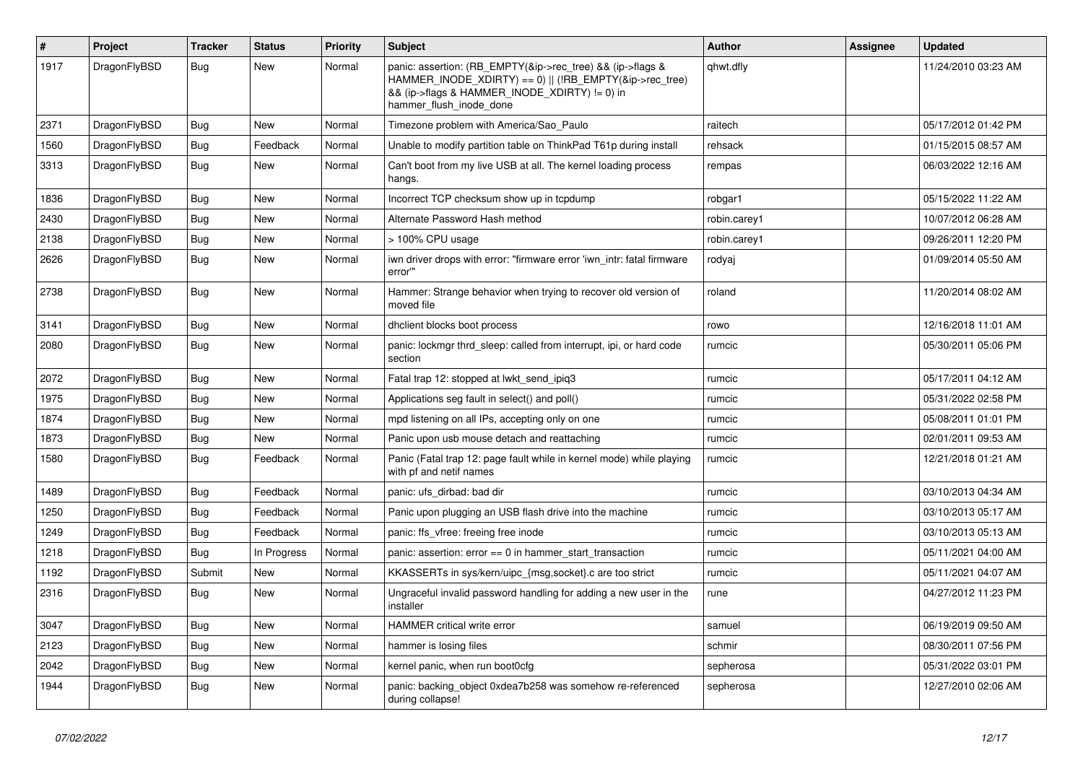| $\vert$ # | Project      | <b>Tracker</b> | <b>Status</b> | <b>Priority</b> | <b>Subject</b>                                                                                                                                                                                    | <b>Author</b> | Assignee | <b>Updated</b>      |
|-----------|--------------|----------------|---------------|-----------------|---------------------------------------------------------------------------------------------------------------------------------------------------------------------------------------------------|---------------|----------|---------------------|
| 1917      | DragonFlyBSD | Bug            | <b>New</b>    | Normal          | panic: assertion: (RB EMPTY(&ip->rec tree) && (ip->flags &<br>HAMMER_INODE_XDIRTY) == 0)    (!RB_EMPTY(&ip->rec_tree)<br>&& (ip->flags & HAMMER_INODE_XDIRTY) != 0) in<br>hammer flush inode done | qhwt.dfly     |          | 11/24/2010 03:23 AM |
| 2371      | DragonFlyBSD | Bug            | <b>New</b>    | Normal          | Timezone problem with America/Sao Paulo                                                                                                                                                           | raitech       |          | 05/17/2012 01:42 PM |
| 1560      | DragonFlyBSD | Bug            | Feedback      | Normal          | Unable to modify partition table on ThinkPad T61p during install                                                                                                                                  | rehsack       |          | 01/15/2015 08:57 AM |
| 3313      | DragonFlyBSD | Bug            | New           | Normal          | Can't boot from my live USB at all. The kernel loading process<br>hangs.                                                                                                                          | rempas        |          | 06/03/2022 12:16 AM |
| 1836      | DragonFlyBSD | Bug            | <b>New</b>    | Normal          | Incorrect TCP checksum show up in tcpdump                                                                                                                                                         | robgar1       |          | 05/15/2022 11:22 AM |
| 2430      | DragonFlyBSD | Bug            | <b>New</b>    | Normal          | Alternate Password Hash method                                                                                                                                                                    | robin.carey1  |          | 10/07/2012 06:28 AM |
| 2138      | DragonFlyBSD | <b>Bug</b>     | <b>New</b>    | Normal          | > 100% CPU usage                                                                                                                                                                                  | robin.carey1  |          | 09/26/2011 12:20 PM |
| 2626      | DragonFlyBSD | <b>Bug</b>     | New           | Normal          | iwn driver drops with error: "firmware error 'iwn intr: fatal firmware<br>error""                                                                                                                 | rodyaj        |          | 01/09/2014 05:50 AM |
| 2738      | DragonFlyBSD | <b>Bug</b>     | <b>New</b>    | Normal          | Hammer: Strange behavior when trying to recover old version of<br>moved file                                                                                                                      | roland        |          | 11/20/2014 08:02 AM |
| 3141      | DragonFlyBSD | Bug            | New           | Normal          | dhclient blocks boot process                                                                                                                                                                      | rowo          |          | 12/16/2018 11:01 AM |
| 2080      | DragonFlyBSD | Bug            | <b>New</b>    | Normal          | panic: lockmgr thrd sleep: called from interrupt, ipi, or hard code<br>section                                                                                                                    | rumcic        |          | 05/30/2011 05:06 PM |
| 2072      | DragonFlyBSD | <b>Bug</b>     | <b>New</b>    | Normal          | Fatal trap 12: stopped at lwkt_send_ipiq3                                                                                                                                                         | rumcic        |          | 05/17/2011 04:12 AM |
| 1975      | DragonFlyBSD | <b>Bug</b>     | <b>New</b>    | Normal          | Applications seg fault in select() and poll()                                                                                                                                                     | rumcic        |          | 05/31/2022 02:58 PM |
| 1874      | DragonFlyBSD | <b>Bug</b>     | New           | Normal          | mpd listening on all IPs, accepting only on one                                                                                                                                                   | rumcic        |          | 05/08/2011 01:01 PM |
| 1873      | DragonFlyBSD | <b>Bug</b>     | <b>New</b>    | Normal          | Panic upon usb mouse detach and reattaching                                                                                                                                                       | rumcic        |          | 02/01/2011 09:53 AM |
| 1580      | DragonFlyBSD | <b>Bug</b>     | Feedback      | Normal          | Panic (Fatal trap 12: page fault while in kernel mode) while playing<br>with pf and netif names                                                                                                   | rumcic        |          | 12/21/2018 01:21 AM |
| 1489      | DragonFlyBSD | Bug            | Feedback      | Normal          | panic: ufs dirbad: bad dir                                                                                                                                                                        | rumcic        |          | 03/10/2013 04:34 AM |
| 1250      | DragonFlyBSD | Bug            | Feedback      | Normal          | Panic upon plugging an USB flash drive into the machine                                                                                                                                           | rumcic        |          | 03/10/2013 05:17 AM |
| 1249      | DragonFlyBSD | Bug            | Feedback      | Normal          | panic: ffs vfree: freeing free inode                                                                                                                                                              | rumcic        |          | 03/10/2013 05:13 AM |
| 1218      | DragonFlyBSD | Bug            | In Progress   | Normal          | panic: assertion: $error == 0$ in hammer start transaction                                                                                                                                        | rumcic        |          | 05/11/2021 04:00 AM |
| 1192      | DragonFlyBSD | Submit         | New           | Normal          | KKASSERTs in sys/kern/uipc {msg,socket}.c are too strict                                                                                                                                          | rumcic        |          | 05/11/2021 04:07 AM |
| 2316      | DragonFlyBSD | <b>Bug</b>     | New           | Normal          | Ungraceful invalid password handling for adding a new user in the<br>installer                                                                                                                    | rune          |          | 04/27/2012 11:23 PM |
| 3047      | DragonFlyBSD | <b>Bug</b>     | <b>New</b>    | Normal          | <b>HAMMER critical write error</b>                                                                                                                                                                | samuel        |          | 06/19/2019 09:50 AM |
| 2123      | DragonFlyBSD | <b>Bug</b>     | <b>New</b>    | Normal          | hammer is losing files                                                                                                                                                                            | schmir        |          | 08/30/2011 07:56 PM |
| 2042      | DragonFlyBSD | Bug            | <b>New</b>    | Normal          | kernel panic, when run boot0cfg                                                                                                                                                                   | sepherosa     |          | 05/31/2022 03:01 PM |
| 1944      | DragonFlyBSD | Bug            | <b>New</b>    | Normal          | panic: backing object 0xdea7b258 was somehow re-referenced<br>during collapse!                                                                                                                    | sepherosa     |          | 12/27/2010 02:06 AM |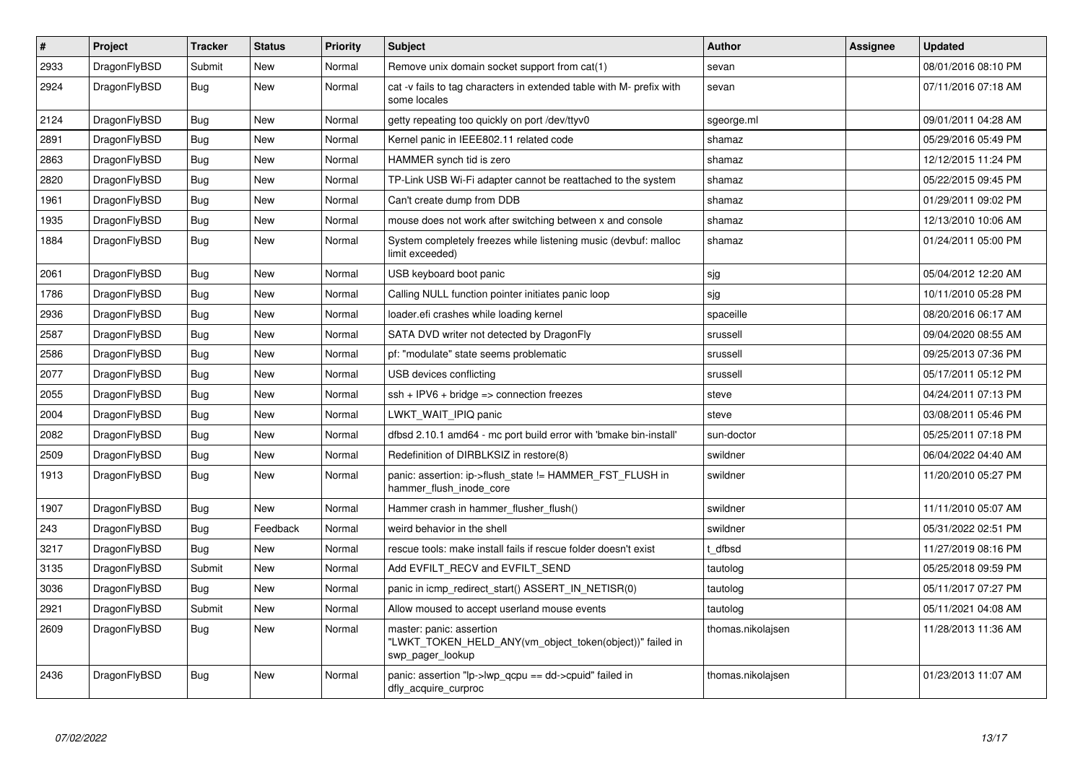| $\pmb{\#}$ | Project      | <b>Tracker</b> | <b>Status</b> | <b>Priority</b> | <b>Subject</b>                                                                                           | <b>Author</b>     | Assignee | Updated             |
|------------|--------------|----------------|---------------|-----------------|----------------------------------------------------------------------------------------------------------|-------------------|----------|---------------------|
| 2933       | DragonFlyBSD | Submit         | <b>New</b>    | Normal          | Remove unix domain socket support from cat(1)                                                            | sevan             |          | 08/01/2016 08:10 PM |
| 2924       | DragonFlyBSD | <b>Bug</b>     | <b>New</b>    | Normal          | cat -v fails to tag characters in extended table with M- prefix with<br>some locales                     | sevan             |          | 07/11/2016 07:18 AM |
| 2124       | DragonFlyBSD | <b>Bug</b>     | New           | Normal          | getty repeating too quickly on port /dev/ttyv0                                                           | sgeorge.ml        |          | 09/01/2011 04:28 AM |
| 2891       | DragonFlyBSD | Bug            | <b>New</b>    | Normal          | Kernel panic in IEEE802.11 related code                                                                  | shamaz            |          | 05/29/2016 05:49 PM |
| 2863       | DragonFlyBSD | Bug            | <b>New</b>    | Normal          | HAMMER synch tid is zero                                                                                 | shamaz            |          | 12/12/2015 11:24 PM |
| 2820       | DragonFlyBSD | <b>Bug</b>     | <b>New</b>    | Normal          | TP-Link USB Wi-Fi adapter cannot be reattached to the system                                             | shamaz            |          | 05/22/2015 09:45 PM |
| 1961       | DragonFlyBSD | Bug            | <b>New</b>    | Normal          | Can't create dump from DDB                                                                               | shamaz            |          | 01/29/2011 09:02 PM |
| 1935       | DragonFlyBSD | <b>Bug</b>     | <b>New</b>    | Normal          | mouse does not work after switching between x and console                                                | shamaz            |          | 12/13/2010 10:06 AM |
| 1884       | DragonFlyBSD | Bug            | New           | Normal          | System completely freezes while listening music (devbuf: malloc<br>limit exceeded)                       | shamaz            |          | 01/24/2011 05:00 PM |
| 2061       | DragonFlyBSD | <b>Bug</b>     | <b>New</b>    | Normal          | USB keyboard boot panic                                                                                  | sjg               |          | 05/04/2012 12:20 AM |
| 1786       | DragonFlyBSD | Bug            | <b>New</b>    | Normal          | Calling NULL function pointer initiates panic loop                                                       | sjg               |          | 10/11/2010 05:28 PM |
| 2936       | DragonFlyBSD | <b>Bug</b>     | New           | Normal          | loader.efi crashes while loading kernel                                                                  | spaceille         |          | 08/20/2016 06:17 AM |
| 2587       | DragonFlyBSD | Bug            | <b>New</b>    | Normal          | SATA DVD writer not detected by DragonFly                                                                | srussell          |          | 09/04/2020 08:55 AM |
| 2586       | DragonFlyBSD | Bug            | <b>New</b>    | Normal          | pf: "modulate" state seems problematic                                                                   | srussell          |          | 09/25/2013 07:36 PM |
| 2077       | DragonFlyBSD | <b>Bug</b>     | New           | Normal          | USB devices conflicting                                                                                  | srussell          |          | 05/17/2011 05:12 PM |
| 2055       | DragonFlyBSD | Bug            | <b>New</b>    | Normal          | $ssh + IPV6 + bridge \Rightarrow connection freezes$                                                     | steve             |          | 04/24/2011 07:13 PM |
| 2004       | DragonFlyBSD | <b>Bug</b>     | <b>New</b>    | Normal          | LWKT_WAIT_IPIQ panic                                                                                     | steve             |          | 03/08/2011 05:46 PM |
| 2082       | DragonFlyBSD | Bug            | New           | Normal          | dfbsd 2.10.1 amd64 - mc port build error with 'bmake bin-install'                                        | sun-doctor        |          | 05/25/2011 07:18 PM |
| 2509       | DragonFlyBSD | <b>Bug</b>     | <b>New</b>    | Normal          | Redefinition of DIRBLKSIZ in restore(8)                                                                  | swildner          |          | 06/04/2022 04:40 AM |
| 1913       | DragonFlyBSD | <b>Bug</b>     | <b>New</b>    | Normal          | panic: assertion: ip->flush_state != HAMMER_FST_FLUSH in<br>hammer flush inode core                      | swildner          |          | 11/20/2010 05:27 PM |
| 1907       | DragonFlyBSD | <b>Bug</b>     | <b>New</b>    | Normal          | Hammer crash in hammer_flusher_flush()                                                                   | swildner          |          | 11/11/2010 05:07 AM |
| 243        | DragonFlyBSD | <b>Bug</b>     | Feedback      | Normal          | weird behavior in the shell                                                                              | swildner          |          | 05/31/2022 02:51 PM |
| 3217       | DragonFlyBSD | <b>Bug</b>     | <b>New</b>    | Normal          | rescue tools: make install fails if rescue folder doesn't exist                                          | t dfbsd           |          | 11/27/2019 08:16 PM |
| 3135       | DragonFlyBSD | Submit         | <b>New</b>    | Normal          | Add EVFILT_RECV and EVFILT_SEND                                                                          | tautolog          |          | 05/25/2018 09:59 PM |
| 3036       | DragonFlyBSD | Bug            | <b>New</b>    | Normal          | panic in icmp redirect start() ASSERT IN NETISR(0)                                                       | tautolog          |          | 05/11/2017 07:27 PM |
| 2921       | DragonFlyBSD | Submit         | <b>New</b>    | Normal          | Allow moused to accept userland mouse events                                                             | tautolog          |          | 05/11/2021 04:08 AM |
| 2609       | DragonFlyBSD | Bug            | New           | Normal          | master: panic: assertion<br>"LWKT_TOKEN_HELD_ANY(vm_object_token(object))" failed in<br>swp_pager_lookup | thomas.nikolajsen |          | 11/28/2013 11:36 AM |
| 2436       | DragonFlyBSD | Bug            | <b>New</b>    | Normal          | panic: assertion " $lp$ -> $lwp$ gcpu == dd->cpuid" failed in<br>dfly_acquire_curproc                    | thomas.nikolajsen |          | 01/23/2013 11:07 AM |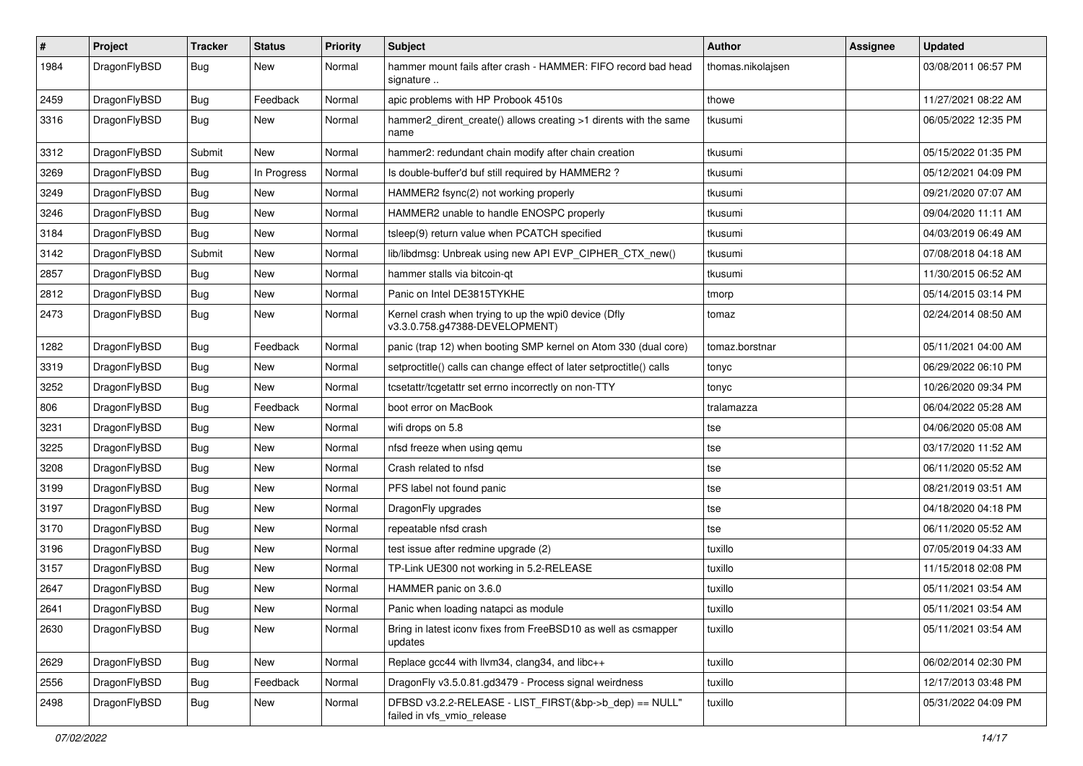| $\sharp$ | Project      | <b>Tracker</b> | <b>Status</b> | <b>Priority</b> | Subject                                                                                | Author            | Assignee | <b>Updated</b>      |
|----------|--------------|----------------|---------------|-----------------|----------------------------------------------------------------------------------------|-------------------|----------|---------------------|
| 1984     | DragonFlyBSD | Bug            | New           | Normal          | hammer mount fails after crash - HAMMER: FIFO record bad head<br>signature             | thomas.nikolajsen |          | 03/08/2011 06:57 PM |
| 2459     | DragonFlyBSD | Bug            | Feedback      | Normal          | apic problems with HP Probook 4510s                                                    | thowe             |          | 11/27/2021 08:22 AM |
| 3316     | DragonFlyBSD | <b>Bug</b>     | New           | Normal          | hammer2_dirent_create() allows creating >1 dirents with the same<br>name               | tkusumi           |          | 06/05/2022 12:35 PM |
| 3312     | DragonFlyBSD | Submit         | <b>New</b>    | Normal          | hammer2: redundant chain modify after chain creation                                   | tkusumi           |          | 05/15/2022 01:35 PM |
| 3269     | DragonFlyBSD | <b>Bug</b>     | In Progress   | Normal          | Is double-buffer'd buf still required by HAMMER2 ?                                     | tkusumi           |          | 05/12/2021 04:09 PM |
| 3249     | DragonFlyBSD | <b>Bug</b>     | New           | Normal          | HAMMER2 fsync(2) not working properly                                                  | tkusumi           |          | 09/21/2020 07:07 AM |
| 3246     | DragonFlyBSD | <b>Bug</b>     | New           | Normal          | HAMMER2 unable to handle ENOSPC properly                                               | tkusumi           |          | 09/04/2020 11:11 AM |
| 3184     | DragonFlyBSD | <b>Bug</b>     | <b>New</b>    | Normal          | tsleep(9) return value when PCATCH specified                                           | tkusumi           |          | 04/03/2019 06:49 AM |
| 3142     | DragonFlyBSD | Submit         | <b>New</b>    | Normal          | lib/libdmsg: Unbreak using new API EVP_CIPHER_CTX_new()                                | tkusumi           |          | 07/08/2018 04:18 AM |
| 2857     | DragonFlyBSD | <b>Bug</b>     | New           | Normal          | hammer stalls via bitcoin-qt                                                           | tkusumi           |          | 11/30/2015 06:52 AM |
| 2812     | DragonFlyBSD | <b>Bug</b>     | <b>New</b>    | Normal          | Panic on Intel DE3815TYKHE                                                             | tmorp             |          | 05/14/2015 03:14 PM |
| 2473     | DragonFlyBSD | <b>Bug</b>     | New           | Normal          | Kernel crash when trying to up the wpi0 device (Dfly<br>v3.3.0.758.g47388-DEVELOPMENT) | tomaz             |          | 02/24/2014 08:50 AM |
| 1282     | DragonFlyBSD | Bug            | Feedback      | Normal          | panic (trap 12) when booting SMP kernel on Atom 330 (dual core)                        | tomaz.borstnar    |          | 05/11/2021 04:00 AM |
| 3319     | DragonFlyBSD | <b>Bug</b>     | <b>New</b>    | Normal          | setproctitle() calls can change effect of later setproctitle() calls                   | tonyc             |          | 06/29/2022 06:10 PM |
| 3252     | DragonFlyBSD | <b>Bug</b>     | <b>New</b>    | Normal          | tcsetattr/tcgetattr set errno incorrectly on non-TTY                                   | tonyc             |          | 10/26/2020 09:34 PM |
| 806      | DragonFlyBSD | <b>Bug</b>     | Feedback      | Normal          | boot error on MacBook                                                                  | tralamazza        |          | 06/04/2022 05:28 AM |
| 3231     | DragonFlyBSD | <b>Bug</b>     | <b>New</b>    | Normal          | wifi drops on 5.8                                                                      | tse               |          | 04/06/2020 05:08 AM |
| 3225     | DragonFlyBSD | <b>Bug</b>     | New           | Normal          | nfsd freeze when using qemu                                                            | tse               |          | 03/17/2020 11:52 AM |
| 3208     | DragonFlyBSD | <b>Bug</b>     | New           | Normal          | Crash related to nfsd                                                                  | tse               |          | 06/11/2020 05:52 AM |
| 3199     | DragonFlyBSD | <b>Bug</b>     | <b>New</b>    | Normal          | PFS label not found panic                                                              | tse               |          | 08/21/2019 03:51 AM |
| 3197     | DragonFlyBSD | Bug            | New           | Normal          | DragonFly upgrades                                                                     | tse               |          | 04/18/2020 04:18 PM |
| 3170     | DragonFlyBSD | <b>Bug</b>     | New           | Normal          | repeatable nfsd crash                                                                  | tse               |          | 06/11/2020 05:52 AM |
| 3196     | DragonFlyBSD | <b>Bug</b>     | <b>New</b>    | Normal          | test issue after redmine upgrade (2)                                                   | tuxillo           |          | 07/05/2019 04:33 AM |
| 3157     | DragonFlyBSD | <b>Bug</b>     | New           | Normal          | TP-Link UE300 not working in 5.2-RELEASE                                               | tuxillo           |          | 11/15/2018 02:08 PM |
| 2647     | DragonFlyBSD | <b>Bug</b>     | <b>New</b>    | Normal          | HAMMER panic on 3.6.0                                                                  | tuxillo           |          | 05/11/2021 03:54 AM |
| 2641     | DragonFlyBSD | Bug            | <b>New</b>    | Normal          | Panic when loading natapci as module                                                   | tuxillo           |          | 05/11/2021 03:54 AM |
| 2630     | DragonFlyBSD | Bug            | New           | Normal          | Bring in latest iconv fixes from FreeBSD10 as well as csmapper<br>updates              | tuxillo           |          | 05/11/2021 03:54 AM |
| 2629     | DragonFlyBSD | Bug            | New           | Normal          | Replace gcc44 with llvm34, clang34, and libc++                                         | tuxillo           |          | 06/02/2014 02:30 PM |
| 2556     | DragonFlyBSD | <b>Bug</b>     | Feedback      | Normal          | DragonFly v3.5.0.81.gd3479 - Process signal weirdness                                  | tuxillo           |          | 12/17/2013 03:48 PM |
| 2498     | DragonFlyBSD | <b>Bug</b>     | New           | Normal          | DFBSD v3.2.2-RELEASE - LIST_FIRST(&bp->b_dep) == NULL"<br>failed in vfs_vmio_release   | tuxillo           |          | 05/31/2022 04:09 PM |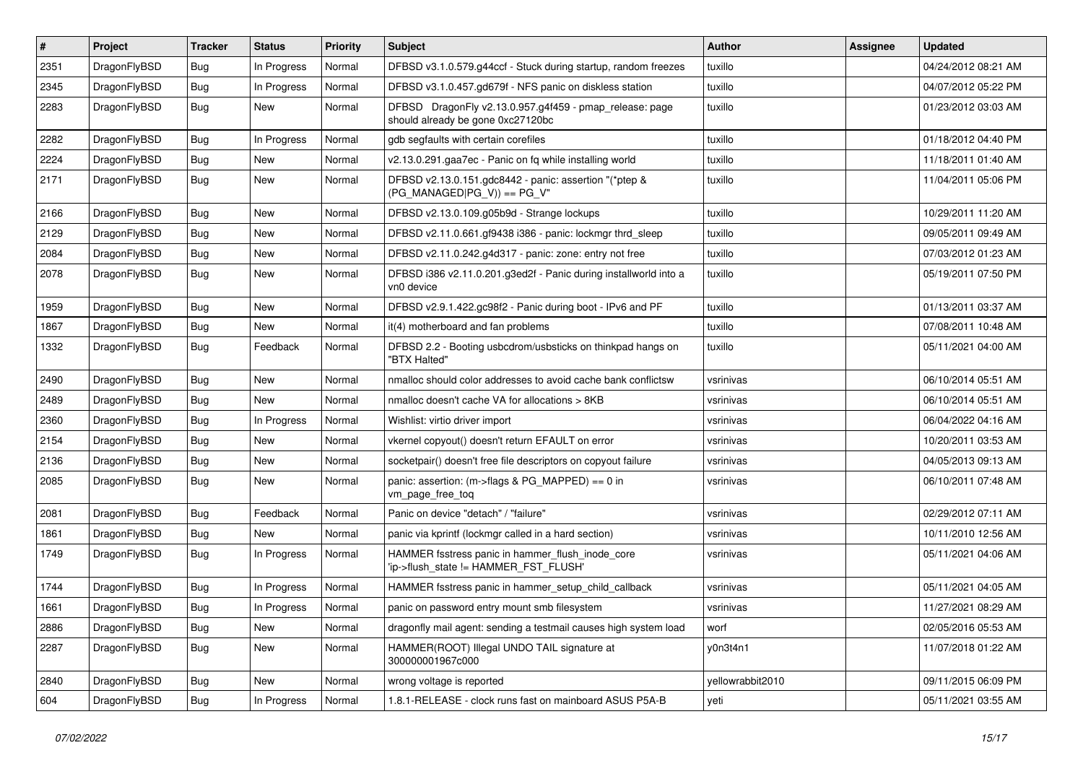| $\vert$ # | Project      | <b>Tracker</b> | <b>Status</b> | <b>Priority</b> | Subject                                                                                      | <b>Author</b>    | Assignee | <b>Updated</b>      |
|-----------|--------------|----------------|---------------|-----------------|----------------------------------------------------------------------------------------------|------------------|----------|---------------------|
| 2351      | DragonFlyBSD | <b>Bug</b>     | In Progress   | Normal          | DFBSD v3.1.0.579.g44ccf - Stuck during startup, random freezes                               | tuxillo          |          | 04/24/2012 08:21 AM |
| 2345      | DragonFlyBSD | Bug            | In Progress   | Normal          | DFBSD v3.1.0.457.gd679f - NFS panic on diskless station                                      | tuxillo          |          | 04/07/2012 05:22 PM |
| 2283      | DragonFlyBSD | <b>Bug</b>     | New           | Normal          | DFBSD DragonFly v2.13.0.957.g4f459 - pmap_release: page<br>should already be gone 0xc27120bc | tuxillo          |          | 01/23/2012 03:03 AM |
| 2282      | DragonFlyBSD | Bug            | In Progress   | Normal          | gdb segfaults with certain corefiles                                                         | tuxillo          |          | 01/18/2012 04:40 PM |
| 2224      | DragonFlyBSD | <b>Bug</b>     | New           | Normal          | v2.13.0.291.gaa7ec - Panic on fq while installing world                                      | tuxillo          |          | 11/18/2011 01:40 AM |
| 2171      | DragonFlyBSD | Bug            | New           | Normal          | DFBSD v2.13.0.151.gdc8442 - panic: assertion "(*ptep &<br>$(PG_MANAGED PG_V)$ == PG_V"       | tuxillo          |          | 11/04/2011 05:06 PM |
| 2166      | DragonFlyBSD | Bug            | <b>New</b>    | Normal          | DFBSD v2.13.0.109.g05b9d - Strange lockups                                                   | tuxillo          |          | 10/29/2011 11:20 AM |
| 2129      | DragonFlyBSD | Bug            | New           | Normal          | DFBSD v2.11.0.661.gf9438 i386 - panic: lockmgr thrd_sleep                                    | tuxillo          |          | 09/05/2011 09:49 AM |
| 2084      | DragonFlyBSD | Bug            | <b>New</b>    | Normal          | DFBSD v2.11.0.242.g4d317 - panic: zone: entry not free                                       | tuxillo          |          | 07/03/2012 01:23 AM |
| 2078      | DragonFlyBSD | Bug            | New           | Normal          | DFBSD i386 v2.11.0.201.g3ed2f - Panic during installworld into a<br>vn0 device               | tuxillo          |          | 05/19/2011 07:50 PM |
| 1959      | DragonFlyBSD | Bug            | New           | Normal          | DFBSD v2.9.1.422.gc98f2 - Panic during boot - IPv6 and PF                                    | tuxillo          |          | 01/13/2011 03:37 AM |
| 1867      | DragonFlyBSD | Bug            | New           | Normal          | it(4) motherboard and fan problems                                                           | tuxillo          |          | 07/08/2011 10:48 AM |
| 1332      | DragonFlyBSD | Bug            | Feedback      | Normal          | DFBSD 2.2 - Booting usbcdrom/usbsticks on thinkpad hangs on<br>"BTX Halted"                  | tuxillo          |          | 05/11/2021 04:00 AM |
| 2490      | DragonFlyBSD | Bug            | <b>New</b>    | Normal          | nmalloc should color addresses to avoid cache bank conflictsw                                | vsrinivas        |          | 06/10/2014 05:51 AM |
| 2489      | DragonFlyBSD | Bug            | New           | Normal          | nmalloc doesn't cache VA for allocations > 8KB                                               | vsrinivas        |          | 06/10/2014 05:51 AM |
| 2360      | DragonFlyBSD | Bug            | In Progress   | Normal          | Wishlist: virtio driver import                                                               | vsrinivas        |          | 06/04/2022 04:16 AM |
| 2154      | DragonFlyBSD | Bug            | <b>New</b>    | Normal          | vkernel copyout() doesn't return EFAULT on error                                             | vsrinivas        |          | 10/20/2011 03:53 AM |
| 2136      | DragonFlyBSD | Bug            | New           | Normal          | socketpair() doesn't free file descriptors on copyout failure                                | vsrinivas        |          | 04/05/2013 09:13 AM |
| 2085      | DragonFlyBSD | Bug            | New           | Normal          | panic: assertion: (m->flags & PG_MAPPED) == 0 in<br>vm_page_free_toq                         | vsrinivas        |          | 06/10/2011 07:48 AM |
| 2081      | DragonFlyBSD | Bug            | Feedback      | Normal          | Panic on device "detach" / "failure"                                                         | vsrinivas        |          | 02/29/2012 07:11 AM |
| 1861      | DragonFlyBSD | Bug            | New           | Normal          | panic via kprintf (lockmgr called in a hard section)                                         | vsrinivas        |          | 10/11/2010 12:56 AM |
| 1749      | DragonFlyBSD | Bug            | In Progress   | Normal          | HAMMER fsstress panic in hammer_flush_inode_core<br>'ip->flush_state != HAMMER_FST_FLUSH'    | vsrinivas        |          | 05/11/2021 04:06 AM |
| 1744      | DragonFlyBSD | Bug            | In Progress   | Normal          | HAMMER fsstress panic in hammer_setup_child_callback                                         | vsrinivas        |          | 05/11/2021 04:05 AM |
| 1661      | DragonFlyBSD | Bug            | In Progress   | Normal          | panic on password entry mount smb filesystem                                                 | vsrinivas        |          | 11/27/2021 08:29 AM |
| 2886      | DragonFlyBSD | Bug            | New           | Normal          | dragonfly mail agent: sending a testmail causes high system load                             | worf             |          | 02/05/2016 05:53 AM |
| 2287      | DragonFlyBSD | <b>Bug</b>     | New           | Normal          | HAMMER(ROOT) Illegal UNDO TAIL signature at<br>300000001967c000                              | y0n3t4n1         |          | 11/07/2018 01:22 AM |
| 2840      | DragonFlyBSD | <b>Bug</b>     | New           | Normal          | wrong voltage is reported                                                                    | yellowrabbit2010 |          | 09/11/2015 06:09 PM |
| 604       | DragonFlyBSD | <b>Bug</b>     | In Progress   | Normal          | 1.8.1-RELEASE - clock runs fast on mainboard ASUS P5A-B                                      | yeti             |          | 05/11/2021 03:55 AM |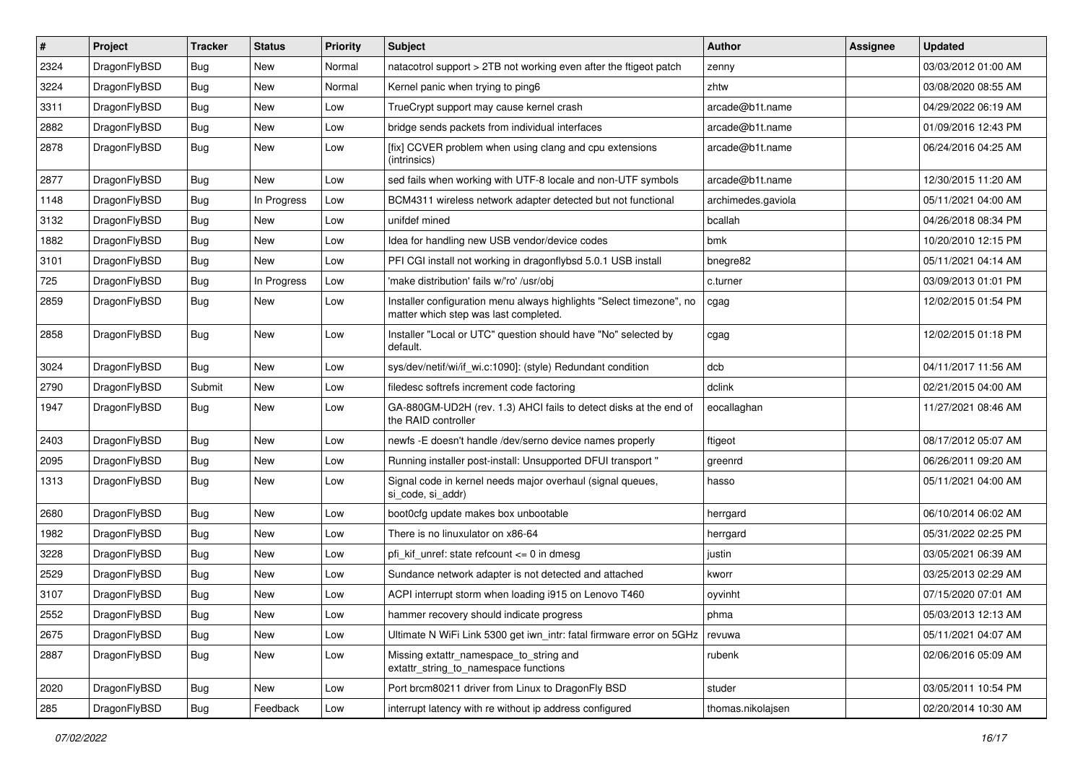| #    | Project      | <b>Tracker</b> | <b>Status</b> | <b>Priority</b> | Subject                                                                                                       | Author             | Assignee | <b>Updated</b>      |
|------|--------------|----------------|---------------|-----------------|---------------------------------------------------------------------------------------------------------------|--------------------|----------|---------------------|
| 2324 | DragonFlyBSD | <b>Bug</b>     | <b>New</b>    | Normal          | natacotrol support > 2TB not working even after the ftigeot patch                                             | zenny              |          | 03/03/2012 01:00 AM |
| 3224 | DragonFlyBSD | Bug            | <b>New</b>    | Normal          | Kernel panic when trying to ping6                                                                             | zhtw               |          | 03/08/2020 08:55 AM |
| 3311 | DragonFlyBSD | <b>Bug</b>     | <b>New</b>    | Low             | TrueCrypt support may cause kernel crash                                                                      | arcade@b1t.name    |          | 04/29/2022 06:19 AM |
| 2882 | DragonFlyBSD | Bug            | New           | Low             | bridge sends packets from individual interfaces                                                               | arcade@b1t.name    |          | 01/09/2016 12:43 PM |
| 2878 | DragonFlyBSD | Bug            | <b>New</b>    | Low             | [fix] CCVER problem when using clang and cpu extensions<br>(intrinsics)                                       | arcade@b1t.name    |          | 06/24/2016 04:25 AM |
| 2877 | DragonFlyBSD | Bug            | New           | Low             | sed fails when working with UTF-8 locale and non-UTF symbols                                                  | arcade@b1t.name    |          | 12/30/2015 11:20 AM |
| 1148 | DragonFlyBSD | <b>Bug</b>     | In Progress   | Low             | BCM4311 wireless network adapter detected but not functional                                                  | archimedes.gaviola |          | 05/11/2021 04:00 AM |
| 3132 | DragonFlyBSD | Bug            | <b>New</b>    | Low             | unifdef mined                                                                                                 | bcallah            |          | 04/26/2018 08:34 PM |
| 1882 | DragonFlyBSD | Bug            | <b>New</b>    | Low             | Idea for handling new USB vendor/device codes                                                                 | bmk                |          | 10/20/2010 12:15 PM |
| 3101 | DragonFlyBSD | Bug            | New           | Low             | PFI CGI install not working in dragonflybsd 5.0.1 USB install                                                 | bnegre82           |          | 05/11/2021 04:14 AM |
| 725  | DragonFlyBSD | Bug            | In Progress   | Low             | 'make distribution' fails w/'ro' /usr/obj                                                                     | c.turner           |          | 03/09/2013 01:01 PM |
| 2859 | DragonFlyBSD | Bug            | New           | Low             | Installer configuration menu always highlights "Select timezone", no<br>matter which step was last completed. | cgag               |          | 12/02/2015 01:54 PM |
| 2858 | DragonFlyBSD | Bug            | <b>New</b>    | Low             | Installer "Local or UTC" question should have "No" selected by<br>default.                                    | cgag               |          | 12/02/2015 01:18 PM |
| 3024 | DragonFlyBSD | Bug            | <b>New</b>    | Low             | sys/dev/netif/wi/if_wi.c:1090]: (style) Redundant condition                                                   | dcb                |          | 04/11/2017 11:56 AM |
| 2790 | DragonFlyBSD | Submit         | <b>New</b>    | Low             | filedesc softrefs increment code factoring                                                                    | dclink             |          | 02/21/2015 04:00 AM |
| 1947 | DragonFlyBSD | Bug            | <b>New</b>    | Low             | GA-880GM-UD2H (rev. 1.3) AHCI fails to detect disks at the end of<br>the RAID controller                      | eocallaghan        |          | 11/27/2021 08:46 AM |
| 2403 | DragonFlyBSD | <b>Bug</b>     | <b>New</b>    | Low             | newfs -E doesn't handle /dev/serno device names properly                                                      | ftigeot            |          | 08/17/2012 05:07 AM |
| 2095 | DragonFlyBSD | <b>Bug</b>     | New           | Low             | Running installer post-install: Unsupported DFUI transport "                                                  | greenrd            |          | 06/26/2011 09:20 AM |
| 1313 | DragonFlyBSD | Bug            | <b>New</b>    | Low             | Signal code in kernel needs major overhaul (signal queues,<br>si_code, si_addr)                               | hasso              |          | 05/11/2021 04:00 AM |
| 2680 | DragonFlyBSD | Bug            | <b>New</b>    | Low             | boot0cfg update makes box unbootable                                                                          | herrgard           |          | 06/10/2014 06:02 AM |
| 1982 | DragonFlyBSD | Bug            | <b>New</b>    | Low             | There is no linuxulator on x86-64                                                                             | herrgard           |          | 05/31/2022 02:25 PM |
| 3228 | DragonFlyBSD | Bug            | <b>New</b>    | Low             | pfi kif unref: state refcount $\leq$ 0 in dmesq                                                               | justin             |          | 03/05/2021 06:39 AM |
| 2529 | DragonFlyBSD | Bug            | <b>New</b>    | Low             | Sundance network adapter is not detected and attached                                                         | kworr              |          | 03/25/2013 02:29 AM |
| 3107 | DragonFlyBSD | Bug            | <b>New</b>    | Low             | ACPI interrupt storm when loading i915 on Lenovo T460                                                         | oyvinht            |          | 07/15/2020 07:01 AM |
| 2552 | DragonFlyBSD | Bug            | New           | Low             | hammer recovery should indicate progress                                                                      | phma               |          | 05/03/2013 12:13 AM |
| 2675 | DragonFlyBSD | <b>Bug</b>     | New           | Low             | Ultimate N WiFi Link 5300 get iwn_intr: fatal firmware error on 5GHz                                          | revuwa             |          | 05/11/2021 04:07 AM |
| 2887 | DragonFlyBSD | <b>Bug</b>     | New           | Low             | Missing extattr_namespace_to_string and<br>extattr_string_to_namespace functions                              | rubenk             |          | 02/06/2016 05:09 AM |
| 2020 | DragonFlyBSD | <b>Bug</b>     | New           | Low             | Port brcm80211 driver from Linux to DragonFly BSD                                                             | studer             |          | 03/05/2011 10:54 PM |
| 285  | DragonFlyBSD | Bug            | Feedback      | Low             | interrupt latency with re without ip address configured                                                       | thomas.nikolajsen  |          | 02/20/2014 10:30 AM |